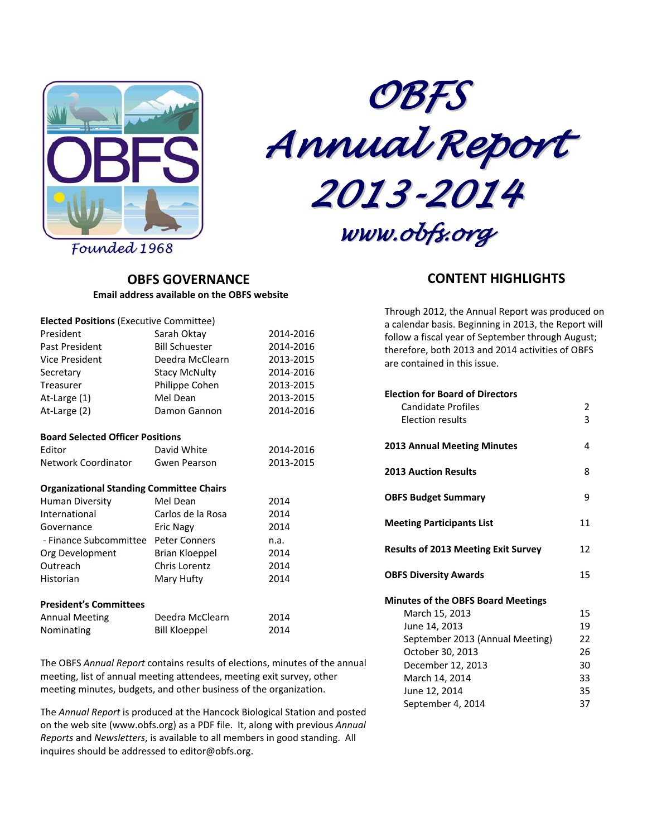



*Founded 1968*

## **OBFS GOVERNANCE Email address available on the OBFS website**

| <b>Elected Positions (Executive Committee)</b>  |                       |           |
|-------------------------------------------------|-----------------------|-----------|
| President                                       | Sarah Oktay           | 2014-2016 |
| Past President                                  | <b>Bill Schuester</b> | 2014-2016 |
| Vice President                                  | Deedra McClearn       | 2013-2015 |
| Secretary                                       | <b>Stacy McNulty</b>  | 2014-2016 |
| Treasurer                                       | Philippe Cohen        | 2013-2015 |
| At-Large (1)                                    | Mel Dean              | 2013-2015 |
| At-Large (2)                                    | Damon Gannon          | 2014-2016 |
| <b>Board Selected Officer Positions</b>         |                       |           |
| Editor                                          | David White           | 2014-2016 |
| Network Coordinator                             | Gwen Pearson          | 2013-2015 |
| <b>Organizational Standing Committee Chairs</b> |                       |           |
| <b>Human Diversity</b>                          | Mel Dean              | 2014      |
| International                                   | Carlos de la Rosa     | 2014      |
| Governance                                      | <b>Eric Nagy</b>      | 2014      |
| - Finance Subcommittee Peter Conners            |                       | n.a.      |
| Org Development                                 | Brian Kloeppel        | 2014      |
| Outreach                                        | Chris Lorentz         | 2014      |
| Historian                                       | Mary Hufty            | 2014      |
| <b>President's Committees</b>                   |                       |           |
| <b>Annual Meeting</b>                           | Deedra McClearn       | 2014      |
| Nominating                                      | <b>Bill Kloeppel</b>  | 2014      |

The OBFS *Annual Report* contains results of elections, minutes of the annual meeting, list of annual meeting attendees, meeting exit survey, other meeting minutes, budgets, and other business of the organization.

The *Annual Report* is produced at the Hancock Biological Station and posted on the web site (www.obfs.org) as a PDF file. It, along with previous *Annual Reports* and *Newsletters*, is available to all members in good standing. All inquires should be addressed to editor@obfs.org.

# **CONTENT HIGHLIGHTS**

Through 2012, the Annual Report was produced on a calendar basis. Beginning in 2013, the Report will follow a fiscal year of September through August; therefore, both 2013 and 2014 activities of OBFS are contained in this issue.

| <b>Election for Board of Directors</b>     |    |
|--------------------------------------------|----|
| Candidate Profiles                         | 2  |
| <b>Election results</b>                    | 3  |
| 2013 Annual Meeting Minutes                | 4  |
| <b>2013 Auction Results</b>                | 8  |
| <b>OBFS Budget Summary</b>                 | 9  |
| <b>Meeting Participants List</b>           | 11 |
| <b>Results of 2013 Meeting Exit Survey</b> | 12 |
| <b>OBFS Diversity Awards</b>               | 15 |
| <b>Minutes of the OBFS Board Meetings</b>  |    |
| March 15, 2013                             | 15 |
| June 14, 2013                              | 19 |
| September 2013 (Annual Meeting)            | 22 |
| October 30, 2013                           | 26 |
| December 12, 2013                          | 30 |
| March 14, 2014                             | 33 |
| June 12, 2014                              | 35 |
| September 4, 2014                          | 37 |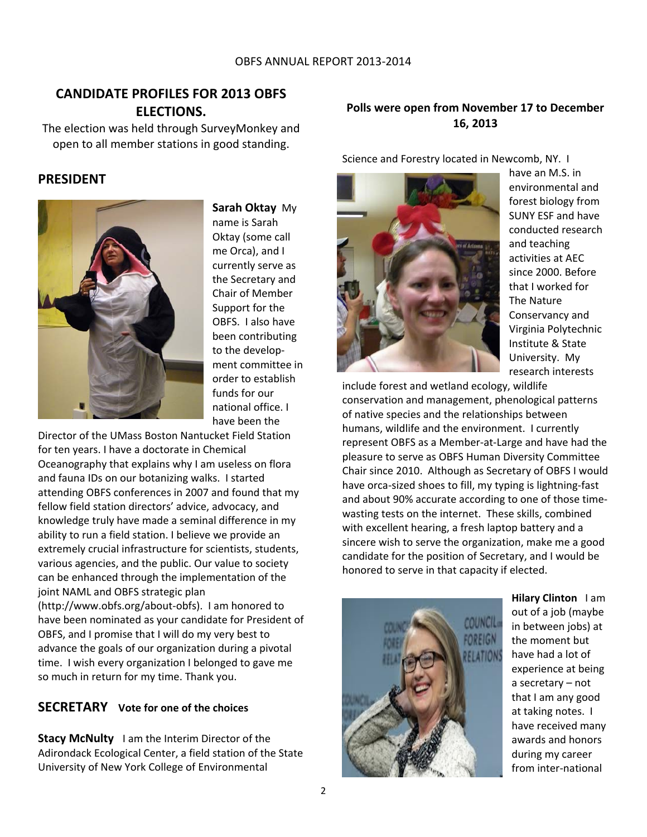# **CANDIDATE PROFILES FOR 2013 OBFS ELECTIONS.**

The election was held through SurveyMonkey and open to all member stations in good standing.

# **PRESIDENT**



**Sarah Oktay** My name is Sarah Oktay (some call me Orca), and I currently serve as the Secretary and Chair of Member Support for the OBFS. I also have been contributing to the develop‐ ment committee in order to establish funds for our national office. I have been the

Director of the UMass Boston Nantucket Field Station for ten years. I have a doctorate in Chemical Oceanography that explains why I am useless on flora and fauna IDs on our botanizing walks. I started attending OBFS conferences in 2007 and found that my fellow field station directors' advice, advocacy, and knowledge truly have made a seminal difference in my ability to run a field station. I believe we provide an extremely crucial infrastructure for scientists, students, various agencies, and the public. Our value to society can be enhanced through the implementation of the joint NAML and OBFS strategic plan

(http://www.obfs.org/about‐obfs). I am honored to have been nominated as your candidate for President of OBFS, and I promise that I will do my very best to advance the goals of our organization during a pivotal time. I wish every organization I belonged to gave me so much in return for my time. Thank you.

# **SECRETARY Vote for one of the choices**

**Stacy McNulty** I am the Interim Director of the Adirondack Ecological Center, a field station of the State University of New York College of Environmental

# **Polls were open from November 17 to December 16, 2013**

Science and Forestry located in Newcomb, NY. I



have an M.S. in environmental and forest biology from SUNY ESF and have conducted research and teaching activities at AEC since 2000. Before that I worked for The Nature Conservancy and Virginia Polytechnic Institute & State University. My research interests

include forest and wetland ecology, wildlife conservation and management, phenological patterns of native species and the relationships between humans, wildlife and the environment. I currently represent OBFS as a Member‐at‐Large and have had the pleasure to serve as OBFS Human Diversity Committee Chair since 2010. Although as Secretary of OBFS I would have orca‐sized shoes to fill, my typing is lightning‐fast and about 90% accurate according to one of those time‐ wasting tests on the internet. These skills, combined with excellent hearing, a fresh laptop battery and a sincere wish to serve the organization, make me a good candidate for the position of Secretary, and I would be honored to serve in that capacity if elected.



**Hilary Clinton** I am out of a job (maybe in between jobs) at the moment but have had a lot of experience at being a secretary – not that I am any good at taking notes. I have received many awards and honors during my career from inter‐national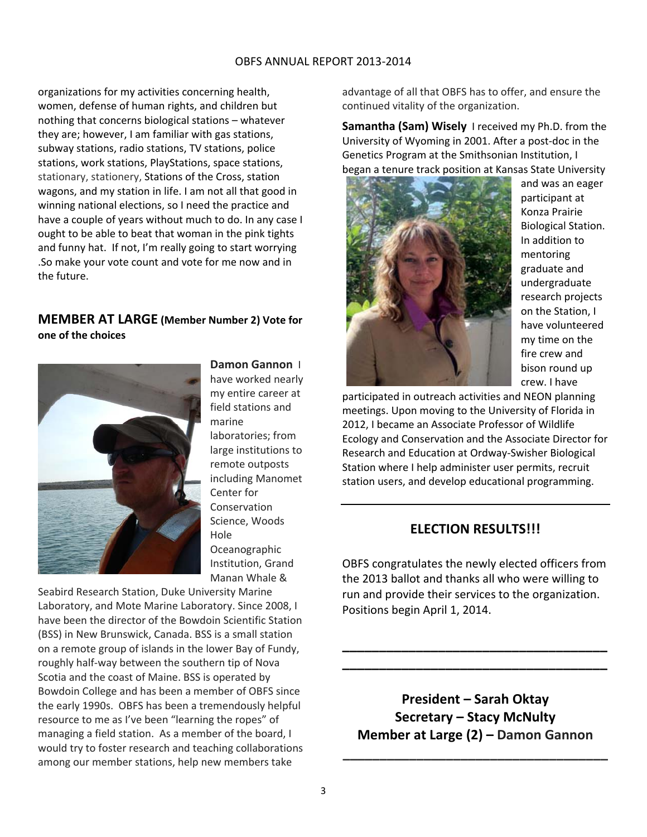organizations for my activities concerning health, women, defense of human rights, and children but nothing that concerns biological stations – whatever they are; however, I am familiar with gas stations, subway stations, radio stations, TV stations, police stations, work stations, PlayStations, space stations, stationary, stationery, Stations of the Cross, station wagons, and my station in life. I am not all that good in winning national elections, so I need the practice and have a couple of years without much to do. In any case I ought to be able to beat that woman in the pink tights and funny hat. If not, I'm really going to start worrying .So make your vote count and vote for me now and in the future.

## **MEMBER AT LARGE (Member Number 2) Vote for one of the choices**



**Damon Gannon** I have worked nearly my entire career at field stations and marine laboratories; from large institutions to remote outposts including Manomet Center for Conservation Science, Woods Hole Oceanographic Institution, Grand Manan Whale &

Seabird Research Station, Duke University Marine Laboratory, and Mote Marine Laboratory. Since 2008, I have been the director of the Bowdoin Scientific Station (BSS) in New Brunswick, Canada. BSS is a small station on a remote group of islands in the lower Bay of Fundy, roughly half‐way between the southern tip of Nova Scotia and the coast of Maine. BSS is operated by Bowdoin College and has been a member of OBFS since the early 1990s. OBFS has been a tremendously helpful resource to me as I've been "learning the ropes" of managing a field station. As a member of the board, I would try to foster research and teaching collaborations among our member stations, help new members take

advantage of all that OBFS has to offer, and ensure the continued vitality of the organization.

**Samantha (Sam) Wisely** I received my Ph.D. from the University of Wyoming in 2001. After a post‐doc in the Genetics Program at the Smithsonian Institution, I began a tenure track position at Kansas State University



and was an eager participant at Konza Prairie Biological Station. In addition to mentoring graduate and undergraduate research projects on the Station, I have volunteered my time on the fire crew and bison round up crew. I have

participated in outreach activities and NEON planning meetings. Upon moving to the University of Florida in 2012, I became an Associate Professor of Wildlife Ecology and Conservation and the Associate Director for Research and Education at Ordway‐Swisher Biological Station where I help administer user permits, recruit station users, and develop educational programming.

# **ELECTION RESULTS!!!**

OBFS congratulates the newly elected officers from the 2013 ballot and thanks all who were willing to run and provide their services to the organization. Positions begin April 1, 2014.

**\_\_\_\_\_\_\_\_\_\_\_\_\_\_\_\_\_\_\_\_\_\_\_\_\_\_\_\_\_\_\_\_\_\_\_\_ \_\_\_\_\_\_\_\_\_\_\_\_\_\_\_\_\_\_\_\_\_\_\_\_\_\_\_\_\_\_\_\_\_\_\_\_**

**President – Sarah Oktay Secretary – Stacy McNulty Member at Large (2) – Damon Gannon**

**\_\_\_\_\_\_\_\_\_\_\_\_\_\_\_\_\_\_\_\_\_\_\_\_\_\_\_\_\_\_\_\_\_\_\_\_**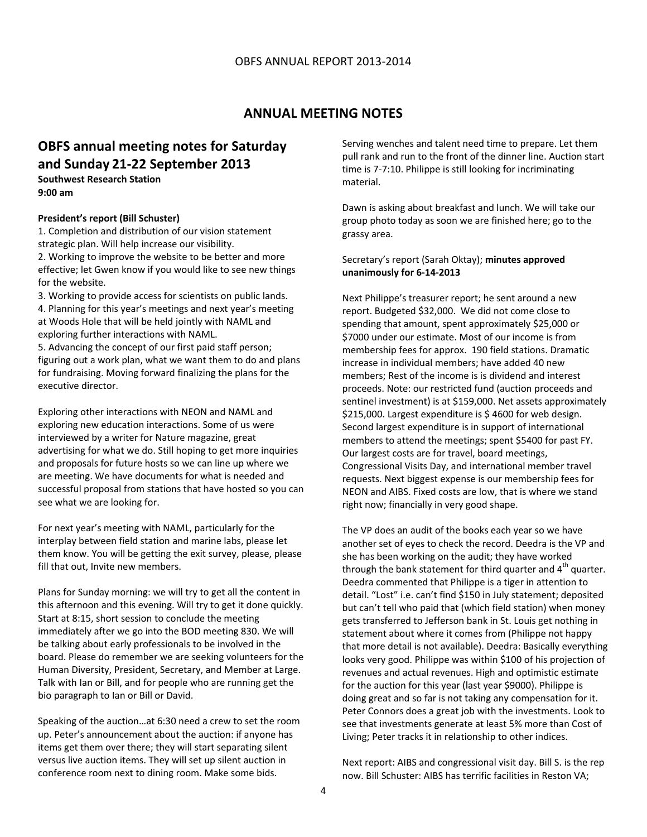# **ANNUAL MEETING NOTES**

# **OBFS annual meeting notes for Saturday and Sunday 21‐22 September 2013**

**Southwest Research Station 9:00 am**

## **President's report (Bill Schuster)**

1. Completion and distribution of our vision statement strategic plan. Will help increase our visibility.

2. Working to improve the website to be better and more effective; let Gwen know if you would like to see new things for the website.

3. Working to provide access for scientists on public lands. 4. Planning for this year's meetings and next year's meeting at Woods Hole that will be held jointly with NAML and exploring further interactions with NAML.

5. Advancing the concept of our first paid staff person; figuring out a work plan, what we want them to do and plans for fundraising. Moving forward finalizing the plans for the executive director.

Exploring other interactions with NEON and NAML and exploring new education interactions. Some of us were interviewed by a writer for Nature magazine, great advertising for what we do. Still hoping to get more inquiries and proposals for future hosts so we can line up where we are meeting. We have documents for what is needed and successful proposal from stations that have hosted so you can see what we are looking for.

For next year's meeting with NAML, particularly for the interplay between field station and marine labs, please let them know. You will be getting the exit survey, please, please fill that out, Invite new members.

Plans for Sunday morning: we will try to get all the content in this afternoon and this evening. Will try to get it done quickly. Start at 8:15, short session to conclude the meeting immediately after we go into the BOD meeting 830. We will be talking about early professionals to be involved in the board. Please do remember we are seeking volunteers for the Human Diversity, President, Secretary, and Member at Large. Talk with Ian or Bill, and for people who are running get the bio paragraph to Ian or Bill or David.

Speaking of the auction…at 6:30 need a crew to set the room up. Peter's announcement about the auction: if anyone has items get them over there; they will start separating silent versus live auction items. They will set up silent auction in conference room next to dining room. Make some bids.

Serving wenches and talent need time to prepare. Let them pull rank and run to the front of the dinner line. Auction start time is 7‐7:10. Philippe is still looking for incriminating material.

Dawn is asking about breakfast and lunch. We will take our group photo today as soon we are finished here; go to the grassy area.

#### Secretary's report (Sarah Oktay); **minutes approved unanimously for 6‐14‐2013**

Next Philippe's treasurer report; he sent around a new report. Budgeted \$32,000. We did not come close to spending that amount, spent approximately \$25,000 or \$7000 under our estimate. Most of our income is from membership fees for approx. 190 field stations. Dramatic increase in individual members; have added 40 new members; Rest of the income is is dividend and interest proceeds. Note: our restricted fund (auction proceeds and sentinel investment) is at \$159,000. Net assets approximately \$215,000. Largest expenditure is \$4600 for web design. Second largest expenditure is in support of international members to attend the meetings; spent \$5400 for past FY. Our largest costs are for travel, board meetings, Congressional Visits Day, and international member travel requests. Next biggest expense is our membership fees for NEON and AIBS. Fixed costs are low, that is where we stand right now; financially in very good shape.

The VP does an audit of the books each year so we have another set of eyes to check the record. Deedra is the VP and she has been working on the audit; they have worked through the bank statement for third quarter and  $4<sup>th</sup>$  quarter. Deedra commented that Philippe is a tiger in attention to detail. "Lost" i.e. can't find \$150 in July statement; deposited but can't tell who paid that (which field station) when money gets transferred to Jefferson bank in St. Louis get nothing in statement about where it comes from (Philippe not happy that more detail is not available). Deedra: Basically everything looks very good. Philippe was within \$100 of his projection of revenues and actual revenues. High and optimistic estimate for the auction for this year (last year \$9000). Philippe is doing great and so far is not taking any compensation for it. Peter Connors does a great job with the investments. Look to see that investments generate at least 5% more than Cost of Living; Peter tracks it in relationship to other indices.

Next report: AIBS and congressional visit day. Bill S. is the rep now. Bill Schuster: AIBS has terrific facilities in Reston VA;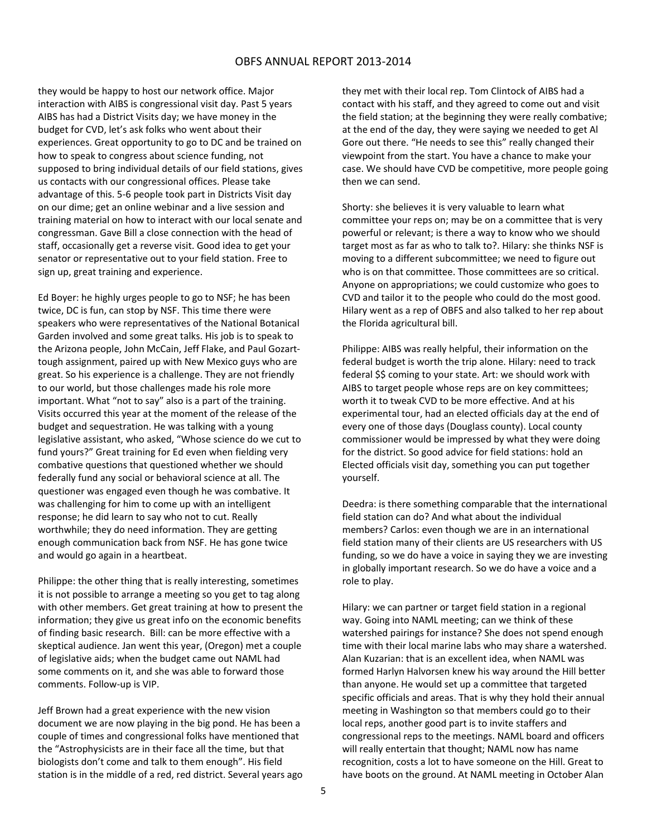they would be happy to host our network office. Major interaction with AIBS is congressional visit day. Past 5 years AIBS has had a District Visits day; we have money in the budget for CVD, let's ask folks who went about their experiences. Great opportunity to go to DC and be trained on how to speak to congress about science funding, not supposed to bring individual details of our field stations, gives us contacts with our congressional offices. Please take advantage of this. 5‐6 people took part in Districts Visit day on our dime; get an online webinar and a live session and training material on how to interact with our local senate and congressman. Gave Bill a close connection with the head of staff, occasionally get a reverse visit. Good idea to get your senator or representative out to your field station. Free to sign up, great training and experience.

Ed Boyer: he highly urges people to go to NSF; he has been twice, DC is fun, can stop by NSF. This time there were speakers who were representatives of the National Botanical Garden involved and some great talks. His job is to speak to the Arizona people, John McCain, Jeff Flake, and Paul Gozart‐ tough assignment, paired up with New Mexico guys who are great. So his experience is a challenge. They are not friendly to our world, but those challenges made his role more important. What "not to say" also is a part of the training. Visits occurred this year at the moment of the release of the budget and sequestration. He was talking with a young legislative assistant, who asked, "Whose science do we cut to fund yours?" Great training for Ed even when fielding very combative questions that questioned whether we should federally fund any social or behavioral science at all. The questioner was engaged even though he was combative. It was challenging for him to come up with an intelligent response; he did learn to say who not to cut. Really worthwhile; they do need information. They are getting enough communication back from NSF. He has gone twice and would go again in a heartbeat.

Philippe: the other thing that is really interesting, sometimes it is not possible to arrange a meeting so you get to tag along with other members. Get great training at how to present the information; they give us great info on the economic benefits of finding basic research. Bill: can be more effective with a skeptical audience. Jan went this year, (Oregon) met a couple of legislative aids; when the budget came out NAML had some comments on it, and she was able to forward those comments. Follow‐up is VIP.

Jeff Brown had a great experience with the new vision document we are now playing in the big pond. He has been a couple of times and congressional folks have mentioned that the "Astrophysicists are in their face all the time, but that biologists don't come and talk to them enough". His field station is in the middle of a red, red district. Several years ago they met with their local rep. Tom Clintock of AIBS had a contact with his staff, and they agreed to come out and visit the field station; at the beginning they were really combative; at the end of the day, they were saying we needed to get Al Gore out there. "He needs to see this" really changed their viewpoint from the start. You have a chance to make your case. We should have CVD be competitive, more people going then we can send.

Shorty: she believes it is very valuable to learn what committee your reps on; may be on a committee that is very powerful or relevant; is there a way to know who we should target most as far as who to talk to?. Hilary: she thinks NSF is moving to a different subcommittee; we need to figure out who is on that committee. Those committees are so critical. Anyone on appropriations; we could customize who goes to CVD and tailor it to the people who could do the most good. Hilary went as a rep of OBFS and also talked to her rep about the Florida agricultural bill.

Philippe: AIBS was really helpful, their information on the federal budget is worth the trip alone. Hilary: need to track federal \$\$ coming to your state. Art: we should work with AIBS to target people whose reps are on key committees; worth it to tweak CVD to be more effective. And at his experimental tour, had an elected officials day at the end of every one of those days (Douglass county). Local county commissioner would be impressed by what they were doing for the district. So good advice for field stations: hold an Elected officials visit day, something you can put together yourself.

Deedra: is there something comparable that the international field station can do? And what about the individual members? Carlos: even though we are in an international field station many of their clients are US researchers with US funding, so we do have a voice in saying they we are investing in globally important research. So we do have a voice and a role to play.

Hilary: we can partner or target field station in a regional way. Going into NAML meeting; can we think of these watershed pairings for instance? She does not spend enough time with their local marine labs who may share a watershed. Alan Kuzarian: that is an excellent idea, when NAML was formed Harlyn Halvorsen knew his way around the Hill better than anyone. He would set up a committee that targeted specific officials and areas. That is why they hold their annual meeting in Washington so that members could go to their local reps, another good part is to invite staffers and congressional reps to the meetings. NAML board and officers will really entertain that thought; NAML now has name recognition, costs a lot to have someone on the Hill. Great to have boots on the ground. At NAML meeting in October Alan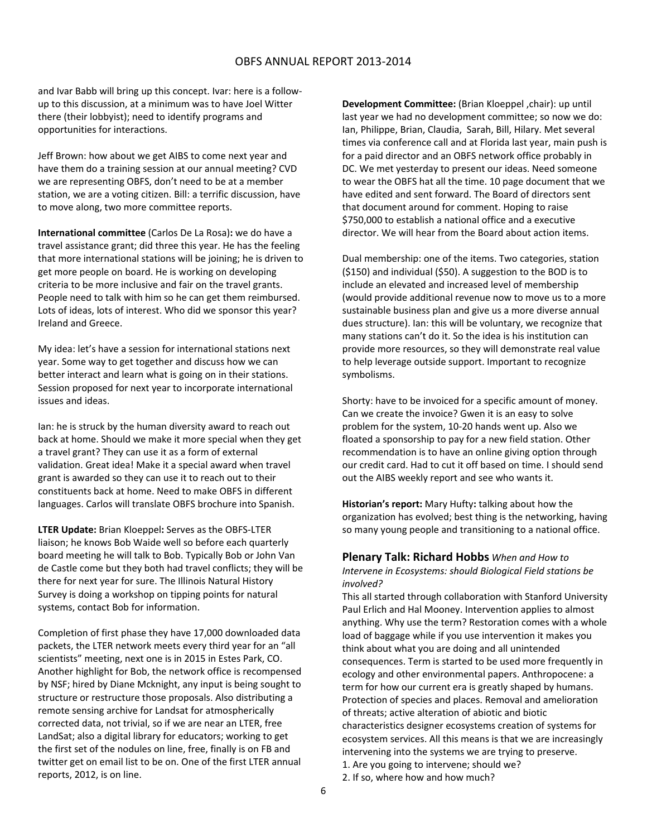and Ivar Babb will bring up this concept. Ivar: here is a follow‐ up to this discussion, at a minimum was to have Joel Witter there (their lobbyist); need to identify programs and opportunities for interactions.

Jeff Brown: how about we get AIBS to come next year and have them do a training session at our annual meeting? CVD we are representing OBFS, don't need to be at a member station, we are a voting citizen. Bill: a terrific discussion, have to move along, two more committee reports.

**International committee** (Carlos De La Rosa)**:** we do have a travel assistance grant; did three this year. He has the feeling that more international stations will be joining; he is driven to get more people on board. He is working on developing criteria to be more inclusive and fair on the travel grants. People need to talk with him so he can get them reimbursed. Lots of ideas, lots of interest. Who did we sponsor this year? Ireland and Greece.

My idea: let's have a session for international stations next year. Some way to get together and discuss how we can better interact and learn what is going on in their stations. Session proposed for next year to incorporate international issues and ideas.

Ian: he is struck by the human diversity award to reach out back at home. Should we make it more special when they get a travel grant? They can use it as a form of external validation. Great idea! Make it a special award when travel grant is awarded so they can use it to reach out to their constituents back at home. Need to make OBFS in different languages. Carlos will translate OBFS brochure into Spanish.

**LTER Update:** Brian Kloeppel**:** Serves as the OBFS‐LTER liaison; he knows Bob Waide well so before each quarterly board meeting he will talk to Bob. Typically Bob or John Van de Castle come but they both had travel conflicts; they will be there for next year for sure. The Illinois Natural History Survey is doing a workshop on tipping points for natural systems, contact Bob for information.

Completion of first phase they have 17,000 downloaded data packets, the LTER network meets every third year for an "all scientists" meeting, next one is in 2015 in Estes Park, CO. Another highlight for Bob, the network office is recompensed by NSF; hired by Diane Mcknight, any input is being sought to structure or restructure those proposals. Also distributing a remote sensing archive for Landsat for atmospherically corrected data, not trivial, so if we are near an LTER, free LandSat; also a digital library for educators; working to get the first set of the nodules on line, free, finally is on FB and twitter get on email list to be on. One of the first LTER annual reports, 2012, is on line.

**Development Committee:** (Brian Kloeppel ,chair): up until last year we had no development committee; so now we do: Ian, Philippe, Brian, Claudia, Sarah, Bill, Hilary. Met several times via conference call and at Florida last year, main push is for a paid director and an OBFS network office probably in DC. We met yesterday to present our ideas. Need someone to wear the OBFS hat all the time. 10 page document that we have edited and sent forward. The Board of directors sent that document around for comment. Hoping to raise \$750,000 to establish a national office and a executive director. We will hear from the Board about action items.

Dual membership: one of the items. Two categories, station (\$150) and individual (\$50). A suggestion to the BOD is to include an elevated and increased level of membership (would provide additional revenue now to move us to a more sustainable business plan and give us a more diverse annual dues structure). Ian: this will be voluntary, we recognize that many stations can't do it. So the idea is his institution can provide more resources, so they will demonstrate real value to help leverage outside support. Important to recognize symbolisms.

Shorty: have to be invoiced for a specific amount of money. Can we create the invoice? Gwen it is an easy to solve problem for the system, 10‐20 hands went up. Also we floated a sponsorship to pay for a new field station. Other recommendation is to have an online giving option through our credit card. Had to cut it off based on time. I should send out the AIBS weekly report and see who wants it.

**Historian's report:** Mary Hufty**:** talking about how the organization has evolved; best thing is the networking, having so many young people and transitioning to a national office.

## **Plenary Talk: Richard Hobbs** *When and How to*

*Intervene in Ecosystems: should Biological Field stations be involved?*

This all started through collaboration with Stanford University Paul Erlich and Hal Mooney. Intervention applies to almost anything. Why use the term? Restoration comes with a whole load of baggage while if you use intervention it makes you think about what you are doing and all unintended consequences. Term is started to be used more frequently in ecology and other environmental papers. Anthropocene: a term for how our current era is greatly shaped by humans. Protection of species and places. Removal and amelioration of threats; active alteration of abiotic and biotic characteristics designer ecosystems creation of systems for ecosystem services. All this means is that we are increasingly intervening into the systems we are trying to preserve. 1. Are you going to intervene; should we? 2. If so, where how and how much?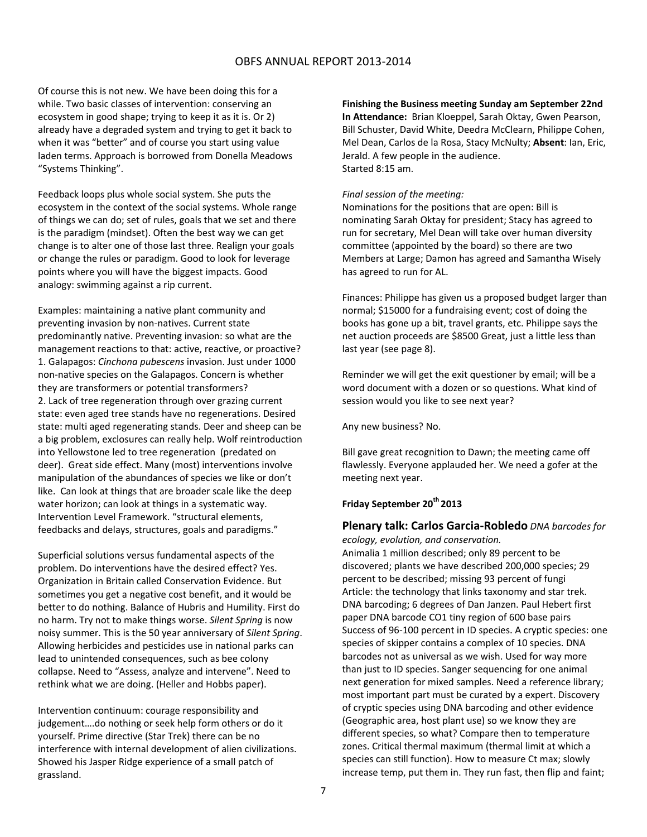Of course this is not new. We have been doing this for a while. Two basic classes of intervention: conserving an ecosystem in good shape; trying to keep it as it is. Or 2) already have a degraded system and trying to get it back to when it was "better" and of course you start using value laden terms. Approach is borrowed from Donella Meadows "Systems Thinking".

Feedback loops plus whole social system. She puts the ecosystem in the context of the social systems. Whole range of things we can do; set of rules, goals that we set and there is the paradigm (mindset). Often the best way we can get change is to alter one of those last three. Realign your goals or change the rules or paradigm. Good to look for leverage points where you will have the biggest impacts. Good analogy: swimming against a rip current.

Examples: maintaining a native plant community and preventing invasion by non‐natives. Current state predominantly native. Preventing invasion: so what are the management reactions to that: active, reactive, or proactive? 1. Galapagos: *Cinchona pubescens* invasion. Just under 1000 non‐native species on the Galapagos. Concern is whether they are transformers or potential transformers? 2. Lack of tree regeneration through over grazing current state: even aged tree stands have no regenerations. Desired state: multi aged regenerating stands. Deer and sheep can be a big problem, exclosures can really help. Wolf reintroduction into Yellowstone led to tree regeneration (predated on deer). Great side effect. Many (most) interventions involve manipulation of the abundances of species we like or don't like. Can look at things that are broader scale like the deep water horizon; can look at things in a systematic way. Intervention Level Framework. "structural elements, feedbacks and delays, structures, goals and paradigms."

Superficial solutions versus fundamental aspects of the problem. Do interventions have the desired effect? Yes. Organization in Britain called Conservation Evidence. But sometimes you get a negative cost benefit, and it would be better to do nothing. Balance of Hubris and Humility. First do no harm. Try not to make things worse. *Silent Spring* is now noisy summer. This is the 50 year anniversary of *Silent Spring*. Allowing herbicides and pesticides use in national parks can lead to unintended consequences, such as bee colony collapse. Need to "Assess, analyze and intervene". Need to rethink what we are doing. (Heller and Hobbs paper).

Intervention continuum: courage responsibility and judgement….do nothing or seek help form others or do it yourself. Prime directive (Star Trek) there can be no interference with internal development of alien civilizations. Showed his Jasper Ridge experience of a small patch of grassland.

**Finishing the Business meeting Sunday am September 22nd In Attendance:** Brian Kloeppel, Sarah Oktay, Gwen Pearson, Bill Schuster, David White, Deedra McClearn, Philippe Cohen, Mel Dean, Carlos de la Rosa, Stacy McNulty; **Absent**: Ian, Eric, Jerald. A few people in the audience. Started 8:15 am.

#### *Final session of the meeting:*

Nominations for the positions that are open: Bill is nominating Sarah Oktay for president; Stacy has agreed to run for secretary, Mel Dean will take over human diversity committee (appointed by the board) so there are two Members at Large; Damon has agreed and Samantha Wisely has agreed to run for AL.

Finances: Philippe has given us a proposed budget larger than normal; \$15000 for a fundraising event; cost of doing the books has gone up a bit, travel grants, etc. Philippe says the net auction proceeds are \$8500 Great, just a little less than last year (see page 8).

Reminder we will get the exit questioner by email; will be a word document with a dozen or so questions. What kind of session would you like to see next year?

Any new business? No.

Bill gave great recognition to Dawn; the meeting came off flawlessly. Everyone applauded her. We need a gofer at the meeting next year.

## **Friday September 20th 2013**

## **Plenary talk: Carlos Garcia‐Robledo** *DNA barcodes for*

*ecology, evolution, and conservation.* Animalia 1 million described; only 89 percent to be discovered; plants we have described 200,000 species; 29 percent to be described; missing 93 percent of fungi Article: the technology that links taxonomy and star trek. DNA barcoding; 6 degrees of Dan Janzen. Paul Hebert first paper DNA barcode CO1 tiny region of 600 base pairs Success of 96‐100 percent in ID species. A cryptic species: one species of skipper contains a complex of 10 species. DNA barcodes not as universal as we wish. Used for way more than just to ID species. Sanger sequencing for one animal next generation for mixed samples. Need a reference library; most important part must be curated by a expert. Discovery of cryptic species using DNA barcoding and other evidence (Geographic area, host plant use) so we know they are different species, so what? Compare then to temperature zones. Critical thermal maximum (thermal limit at which a species can still function). How to measure Ct max; slowly increase temp, put them in. They run fast, then flip and faint;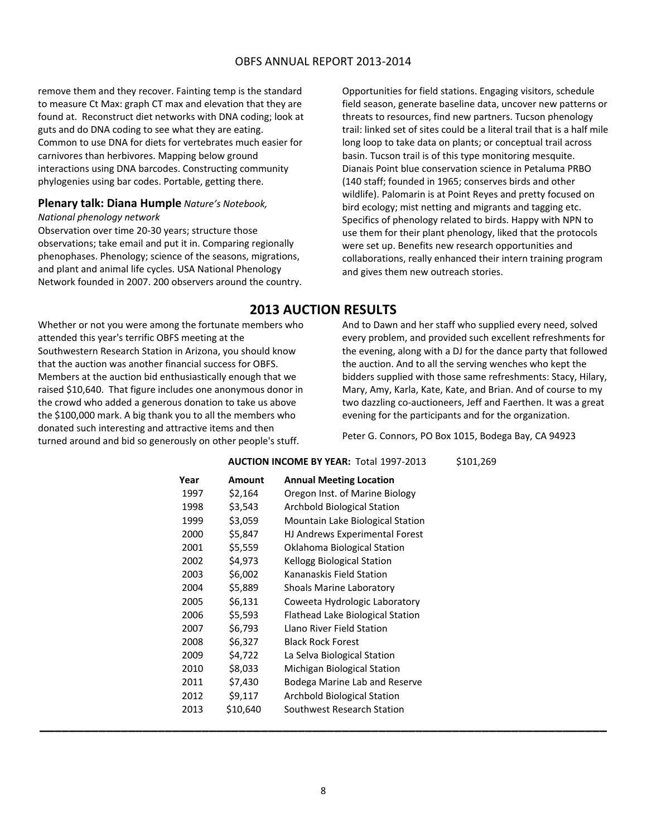remove them and they recover. Fainting temp is the standard to measure Ct Max: graph CT max and elevation that they are found at. Reconstruct diet networks with DNA coding; look at guts and do DNA coding to see what they are eating. Common to use DNA for diets for vertebrates much easier for carnivores than herbivores. Mapping below ground interactions using DNA barcodes. Constructing community phylogenies using bar codes. Portable, getting there.

#### **Plenary talk: Diana Humple** *Nature's Notebook,*

#### *National phenology network*

Observation over time 20‐30 years; structure those observations; take email and put it in. Comparing regionally phenophases. Phenology; science of the seasons, migrations, and plant and animal life cycles. USA National Phenology Network founded in 2007. 200 observers around the country.

Whether or not you were among the fortunate members who attended this year's terrific OBFS meeting at the Southwestern Research Station in Arizona, you should know that the auction was another financial success for OBFS. Members at the auction bid enthusiastically enough that we raised \$10,640. That figure includes one anonymous donor in the crowd who added a generous donation to take us above the \$100,000 mark. A big thank you to all the members who donated such interesting and attractive items and then turned around and bid so generously on other people's stuff.

Opportunities for field stations. Engaging visitors, schedule field season, generate baseline data, uncover new patterns or threats to resources, find new partners. Tucson phenology trail: linked set of sites could be a literal trail that is a half mile long loop to take data on plants; or conceptual trail across basin. Tucson trail is of this type monitoring mesquite. Dianais Point blue conservation science in Petaluma PRBO (140 staff; founded in 1965; conserves birds and other wildlife). Palomarin is at Point Reyes and pretty focused on bird ecology; mist netting and migrants and tagging etc. Specifics of phenology related to birds. Happy with NPN to use them for their plant phenology, liked that the protocols were set up. Benefits new research opportunities and collaborations, really enhanced their intern training program and gives them new outreach stories.

# **2013 AUCTION RESULTS**

And to Dawn and her staff who supplied every need, solved every problem, and provided such excellent refreshments for the evening, along with a DJ for the dance party that followed the auction. And to all the serving wenches who kept the bidders supplied with those same refreshments: Stacy, Hilary, Mary, Amy, Karla, Kate, Kate, and Brian. And of course to my two dazzling co‐auctioneers, Jeff and Faerthen. It was a great evening for the participants and for the organization.

Peter G. Connors, PO Box 1015, Bodega Bay, CA 94923

#### **AUCTION INCOME BY YEAR:** Total 1997‐2013 \$101,269

| Year | Amount   | <b>Annual Meeting Location</b>     |
|------|----------|------------------------------------|
| 1997 | \$2,164  | Oregon Inst. of Marine Biology     |
| 1998 | \$3,543  | Archbold Biological Station        |
| 1999 | \$3,059  | Mountain Lake Biological Station   |
| 2000 | \$5,847  | HJ Andrews Experimental Forest     |
| 2001 | \$5,559  | Oklahoma Biological Station        |
| 2002 | \$4,973  | Kellogg Biological Station         |
| 2003 | \$6,002  | Kananaskis Field Station           |
| 2004 | \$5,889  | <b>Shoals Marine Laboratory</b>    |
| 2005 | \$6,131  | Coweeta Hydrologic Laboratory      |
| 2006 | \$5,593  | Flathead Lake Biological Station   |
| 2007 | \$6,793  | Llano River Field Station          |
| 2008 | \$6,327  | <b>Black Rock Forest</b>           |
| 2009 | \$4,722  | La Selva Biological Station        |
| 2010 | \$8,033  | Michigan Biological Station        |
| 2011 | \$7,430  | Bodega Marine Lab and Reserve      |
| 2012 | \$9,117  | <b>Archbold Biological Station</b> |
| 2013 | \$10,640 | Southwest Research Station         |
|      |          |                                    |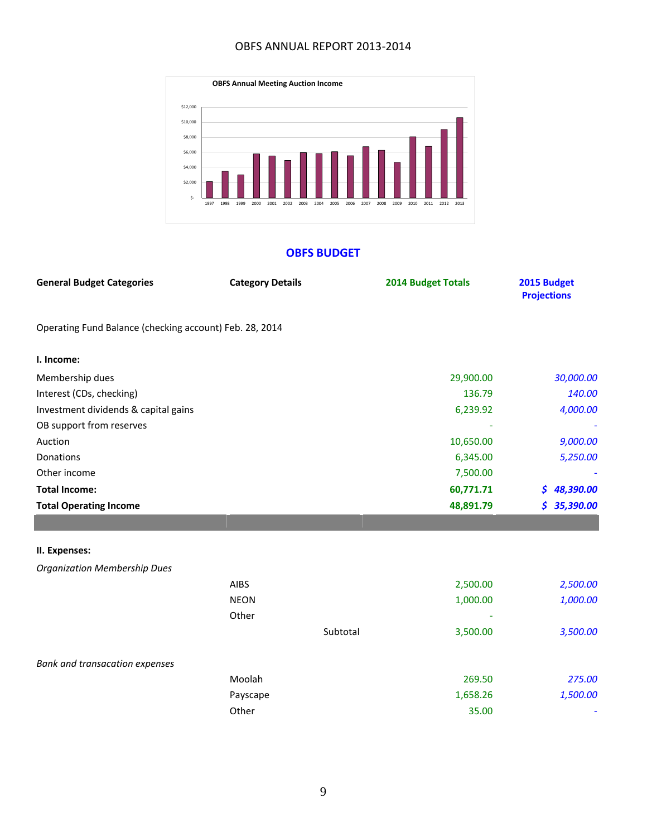

## **OBFS BUDGET**

| <b>General Budget Categories</b>                        | <b>Category Details</b> |          | <b>2014 Budget Totals</b> | 2015 Budget<br><b>Projections</b> |
|---------------------------------------------------------|-------------------------|----------|---------------------------|-----------------------------------|
| Operating Fund Balance (checking account) Feb. 28, 2014 |                         |          |                           |                                   |
| I. Income:                                              |                         |          |                           |                                   |
| Membership dues                                         |                         |          | 29,900.00                 | 30,000.00                         |
| Interest (CDs, checking)                                |                         |          | 136.79                    | 140.00                            |
| Investment dividends & capital gains                    |                         |          | 6,239.92                  | 4,000.00                          |
| OB support from reserves                                |                         |          |                           |                                   |
| Auction                                                 |                         |          | 10,650.00                 | 9,000.00                          |
| Donations                                               |                         |          | 6,345.00                  | 5,250.00                          |
| Other income                                            |                         |          | 7,500.00                  |                                   |
| <b>Total Income:</b>                                    |                         |          | 60,771.71                 | \$48,390.00                       |
| <b>Total Operating Income</b>                           |                         |          | 48,891.79                 | 35,390.00<br>\$                   |
|                                                         |                         |          |                           |                                   |
| II. Expenses:                                           |                         |          |                           |                                   |
| <b>Organization Membership Dues</b>                     |                         |          |                           |                                   |
|                                                         | <b>AIBS</b>             |          | 2,500.00                  | 2,500.00                          |
|                                                         | <b>NEON</b>             |          | 1,000.00                  | 1,000.00                          |
|                                                         | Other                   |          |                           |                                   |
|                                                         |                         | Subtotal | 3,500.00                  | 3,500.00                          |
| Bank and transacation expenses                          |                         |          |                           |                                   |
|                                                         | Moolah                  |          | 269.50                    | 275.00                            |
|                                                         | Payscape                |          | 1,658.26                  | 1,500.00                          |
|                                                         | Other                   |          | 35.00                     |                                   |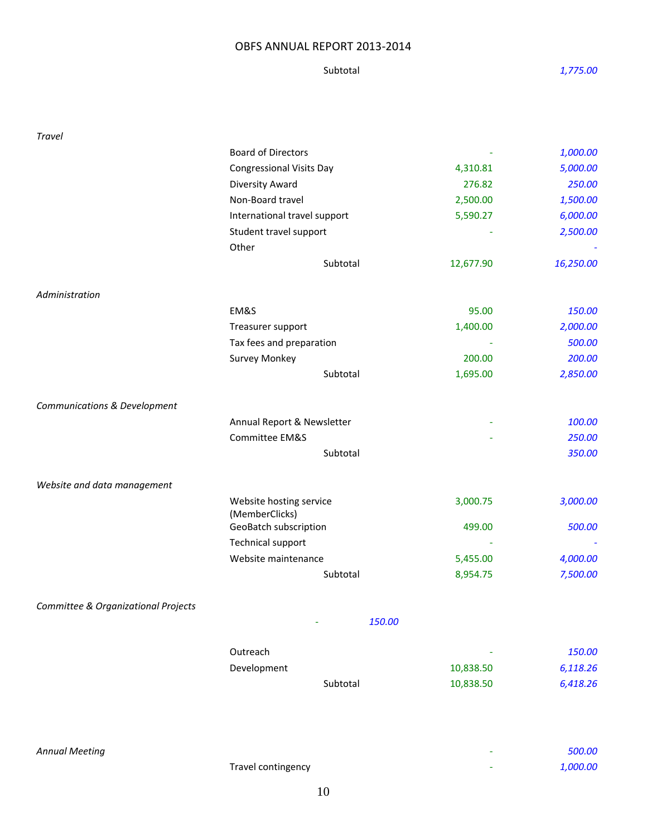Subtotal  *1,775.00*

| <b>Travel</b>                       |                                           |           |           |
|-------------------------------------|-------------------------------------------|-----------|-----------|
|                                     | <b>Board of Directors</b>                 |           | 1,000.00  |
|                                     | <b>Congressional Visits Day</b>           | 4,310.81  | 5,000.00  |
|                                     | Diversity Award                           | 276.82    | 250.00    |
|                                     | Non-Board travel                          | 2,500.00  | 1,500.00  |
|                                     | International travel support              | 5,590.27  | 6,000.00  |
|                                     | Student travel support                    |           | 2,500.00  |
|                                     | Other                                     |           |           |
|                                     | Subtotal                                  | 12,677.90 | 16,250.00 |
| Administration                      |                                           |           |           |
|                                     | EM&S                                      | 95.00     | 150.00    |
|                                     | Treasurer support                         | 1,400.00  | 2,000.00  |
|                                     | Tax fees and preparation                  |           | 500.00    |
|                                     | Survey Monkey                             | 200.00    | 200.00    |
|                                     | Subtotal                                  | 1,695.00  | 2,850.00  |
| Communications & Development        |                                           |           |           |
|                                     | Annual Report & Newsletter                |           | 100.00    |
|                                     | Committee EM&S                            |           | 250.00    |
|                                     | Subtotal                                  |           | 350.00    |
| Website and data management         |                                           |           |           |
|                                     | Website hosting service<br>(MemberClicks) | 3,000.75  | 3,000.00  |
|                                     | GeoBatch subscription                     | 499.00    | 500.00    |
|                                     | <b>Technical support</b>                  |           |           |
|                                     | Website maintenance                       | 5,455.00  | 4,000.00  |
|                                     | Subtotal                                  | 8,954.75  | 7,500.00  |
| Committee & Organizational Projects |                                           |           |           |
|                                     |                                           | 150.00    |           |
|                                     | Outreach                                  |           | 150.00    |
|                                     | Development                               | 10,838.50 | 6,118.26  |
|                                     | Subtotal                                  | 10,838.50 | 6,418.26  |
|                                     |                                           |           |           |
|                                     |                                           |           |           |

| Annual Meeting |                    |   | 500.00   |
|----------------|--------------------|---|----------|
|                | Travel contingency | - | 1,000.00 |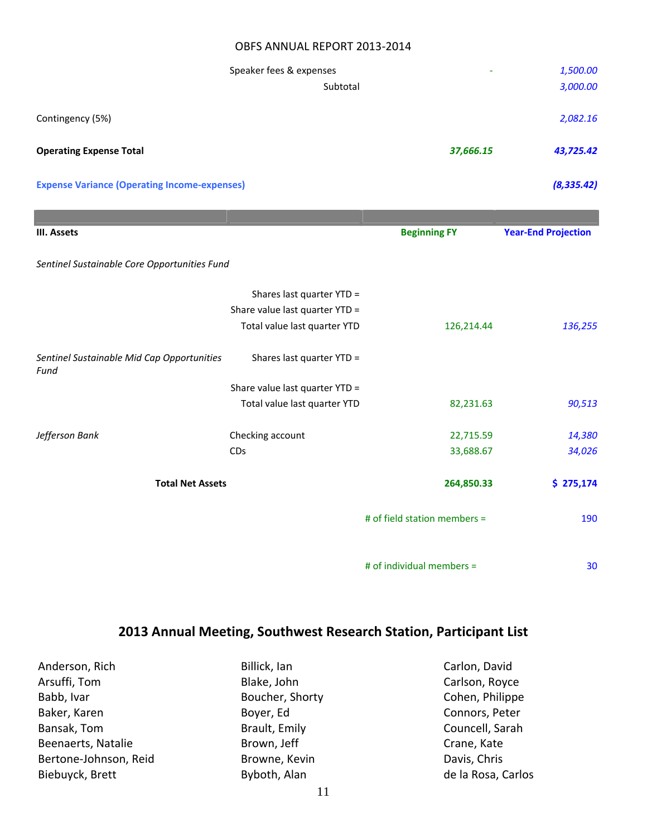|                                                     | Speaker fees & expenses        |                              | 1,500.00                   |
|-----------------------------------------------------|--------------------------------|------------------------------|----------------------------|
|                                                     | Subtotal                       |                              | 3,000.00                   |
| Contingency (5%)                                    |                                |                              | 2,082.16                   |
| <b>Operating Expense Total</b>                      |                                | 37,666.15                    | 43,725.42                  |
| <b>Expense Variance (Operating Income-expenses)</b> |                                |                              | (8, 335.42)                |
|                                                     |                                |                              |                            |
| III. Assets                                         |                                | <b>Beginning FY</b>          | <b>Year-End Projection</b> |
| Sentinel Sustainable Core Opportunities Fund        |                                |                              |                            |
|                                                     | Shares last quarter YTD =      |                              |                            |
|                                                     | Share value last quarter YTD = |                              |                            |
|                                                     | Total value last quarter YTD   | 126,214.44                   | 136,255                    |
| Sentinel Sustainable Mid Cap Opportunities<br>Fund  | Shares last quarter YTD =      |                              |                            |
|                                                     | Share value last quarter YTD = |                              |                            |
|                                                     | Total value last quarter YTD   | 82,231.63                    | 90,513                     |
| Jefferson Bank                                      | Checking account               | 22,715.59                    | 14,380                     |
|                                                     | CDs                            | 33,688.67                    | 34,026                     |
| <b>Total Net Assets</b>                             |                                | 264,850.33                   | \$275,174                  |
|                                                     |                                | # of field station members = | 190                        |
|                                                     |                                | # of individual members =    | 30                         |

# **2013 Annual Meeting, Southwest Research Station, Participant List**

Anderson, Rich Arsuffi, Tom Babb, Ivar Baker, Karen Bansak, Tom Beenaerts, Natalie Bertone‐Johnson, Reid Biebuyck, Brett

Billick, Ian Blake, John Boucher, Shorty Boyer, Ed Brault, Emily Brown, Jeff Browne, Kevin Byboth, Alan

Carlson, Royce Cohen, Philippe Connors, Peter Councell, Sarah Crane, Kate Davis, Chris de la Rosa, Carlos

Carlon, David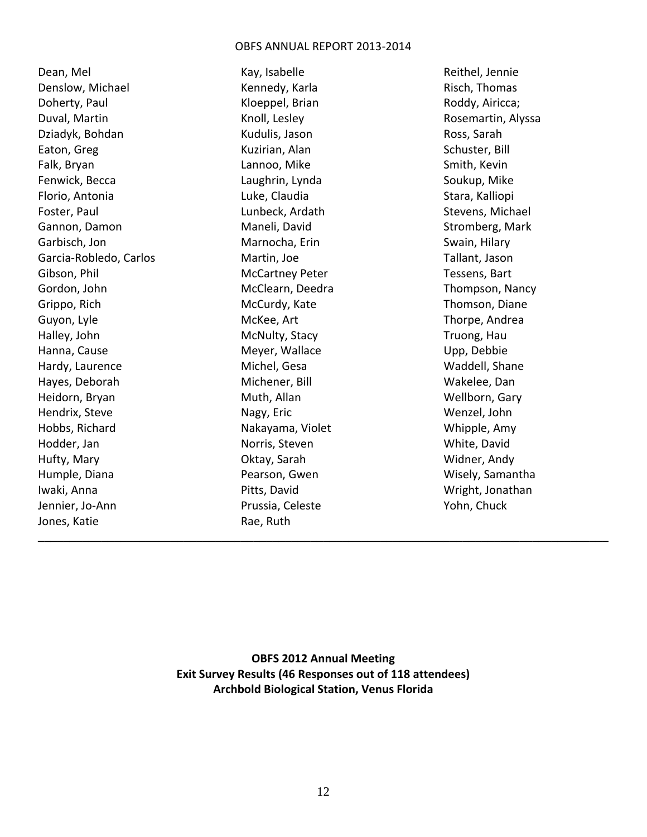Dean, Mel Denslow, Michael Doherty, Paul Duval, Martin Dziadyk, Bohdan Eaton, Greg Falk, Bryan Fenwick, Becca Florio, Antonia Foster, Paul Gannon, Damon Garbisch, Jon Garcia‐Robledo, Carlos Gibson, Phil Gordon, John Grippo, Rich Guyon, Lyle Halley, John Hanna, Cause Hardy, Laurence Hayes, Deborah Heidorn, Bryan Hendrix, Steve Hobbs, Richard Hodder, Jan Hufty, Mary Humple, Diana Iwaki, Anna Jennier, Jo‐Ann Jones, Katie

Kay, Isabelle Kennedy, Karla Kloeppel, Brian Knoll, Lesley Kudulis, Jason Kuzirian, Alan Lannoo, Mike Laughrin, Lynda Luke, Claudia Lunbeck, Ardath Maneli, David Marnocha, Erin Martin, Joe McCartney Peter McClearn, Deedra McCurdy, Kate McKee, Art McNulty, Stacy Meyer, Wallace Michel, Gesa Michener, Bill Muth, Allan Nagy, Eric Nakayama, Violet Norris, Steven Oktay, Sarah Pearson, Gwen Pitts, David Prussia, Celeste Rae, Ruth

Reithel, Jennie Risch, Thomas Roddy, Airicca; Rosemartin, Alyssa Ross, Sarah Schuster, Bill Smith, Kevin Soukup, Mike Stara, Kalliopi Stevens, Michael Stromberg, Mark Swain, Hilary Tallant, Jason Tessens, Bart Thompson, Nancy Thomson, Diane Thorpe, Andrea Truong, Hau Upp, Debbie Waddell, Shane Wakelee, Dan Wellborn, Gary Wenzel, John Whipple, Amy White, David Widner, Andy Wisely, Samantha Wright, Jonathan Yohn, Chuck

**OBFS 2012 Annual Meeting Exit Survey Results (46 Responses out of 118 attendees) Archbold Biological Station, Venus Florida**

**\_\_\_\_\_\_\_\_\_\_\_\_\_\_\_\_\_\_\_\_\_\_\_\_\_\_\_\_\_\_\_\_\_\_\_\_\_\_\_\_\_\_\_\_\_\_\_\_\_\_\_\_\_\_\_\_\_\_\_\_\_\_\_\_\_\_\_\_\_\_\_\_\_\_\_\_\_\_\_\_\_\_\_\_\_\_\_\_\_\_**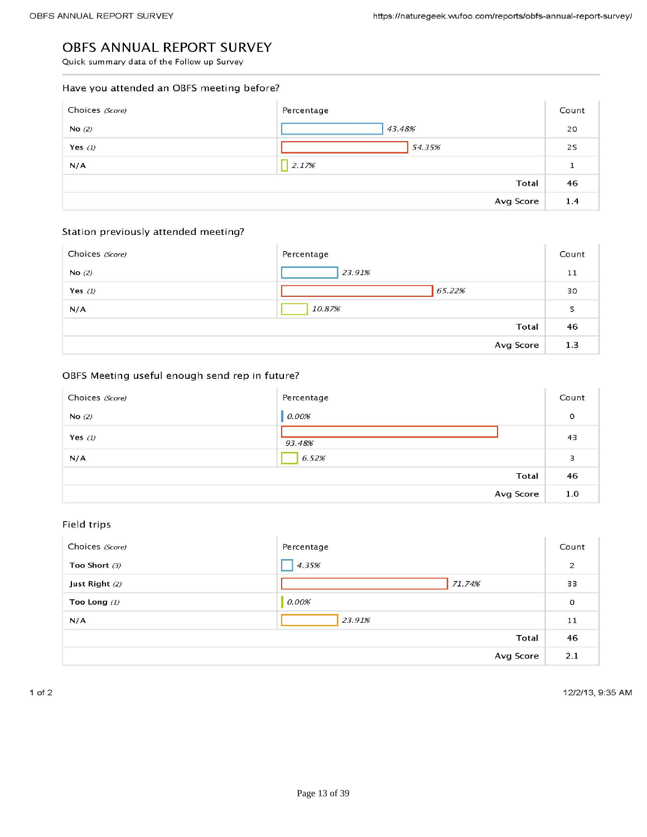## OBFS ANNUAL REPORT SURVEY

obey and 2013–2013

## Have you attended an OBFS meeting before?

| Choices (Score) | Percentage   | Count        |
|-----------------|--------------|--------------|
| No $(2)$        | 43.48%       | 20           |
| Yes $(l)$       | 54.35%       | 25           |
| N/A             | 2.17%        | $\mathbf{1}$ |
|                 | <b>Total</b> | 46           |
|                 | Avg Score    | 1.4          |

## Station previously attended meeting?

| Choices (Score) | Percentage | Count |
|-----------------|------------|-------|
| No $(2)$        | 23.91%     | 11    |
| Yes $(1)$       | 65.22%     | 30    |
| N/A             | 10.87%     | 5     |
|                 | Total      | 46    |
|                 | Avg Score  | 1.3   |

## OBFS Meeting useful enough send rep in future?

| Choices (Score) | Percentage | Count   |
|-----------------|------------|---------|
| No $(2)$        | 0.00%      | $\circ$ |
| Yes $(l)$       | 93.48%     | 43      |
| N/A             | 6.52%      | 3       |
|                 | Total      | 46      |
|                 | Avg Score  | 1.0     |

## Field trips

| Choices (Score) | Percentage | Count          |
|-----------------|------------|----------------|
| Too Short $(3)$ | 4.35%      | $\overline{a}$ |
| Just Right (2)  | 71.74%     | 33             |
| Too Long $(1)$  | 0.00%      | $\circ$        |
| N/A             | 23.91%     | 11             |
|                 | Total      | 46             |
|                 | Avg Score  | 2.1            |

 $1$  of  $2$ 

12/2/13, 9:35 AM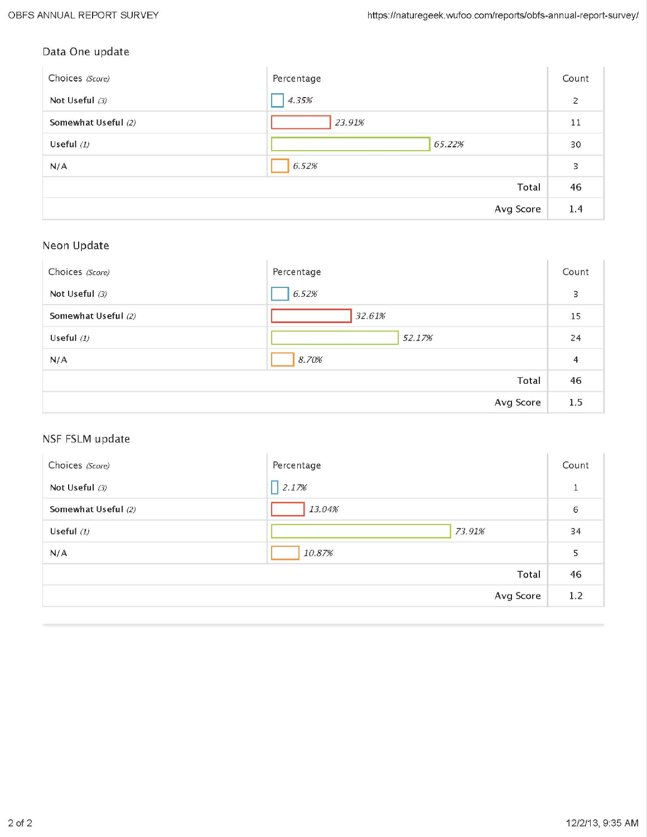# Data One update

| [일본] - 아래 '사용자리' - 그들이는 사용자의 인간 - 사람이 20 사람이 사용자라 설치했다. |            |       |
|---------------------------------------------------------|------------|-------|
| Choices (Score)                                         | Percentage | Count |
| Not Useful (3)                                          | 4.35%      | 2     |
| Somewhat Useful (2)                                     | 23.91%     | 11    |
| Useful $(1)$                                            | 65.22%     | 30    |
| N/A                                                     | 6.52%      | 3     |
|                                                         | Total      | 46    |
|                                                         | Avg Score  | 1.4   |

# Neon Update

| Choices (Score)     | Percentage | Count          |
|---------------------|------------|----------------|
| Not Useful (3)      | 6.52%      | 3              |
| Somewhat Useful (2) | 32.61%     | 15             |
| Useful $(1)$        | 52.17%     | 24             |
| N/A                 | 8.70%      | $\overline{4}$ |
|                     | Total      | 46             |
|                     | Avg Score  | 1.5            |

# NSF FSLM update

| Choices (Score)     | Percentage | Count |
|---------------------|------------|-------|
| Not Useful (3)      | 2.17%      |       |
| Somewhat Useful (2) | 13.04%     | 6     |
| Useful $(1)$        | 73.91%     | 34    |
| N/A                 | 10.87%     | 5     |
|                     | Total      | 46    |
|                     | Avg Score  | 1.2   |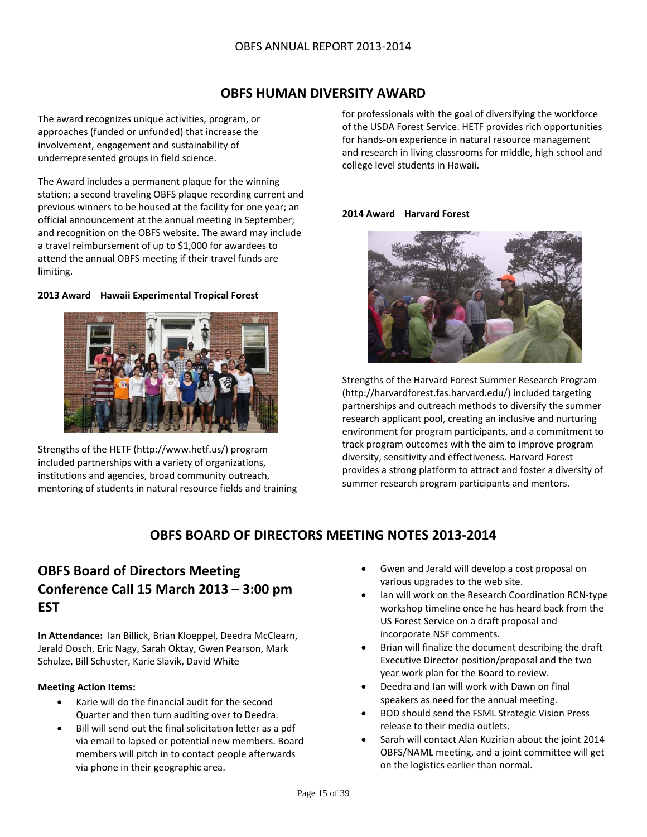# **OBFS HUMAN DIVERSITY AWARD**

The award recognizes unique activities, program, or approaches (funded or unfunded) that increase the involvement, engagement and sustainability of underrepresented groups in field science.

The Award includes a permanent plaque for the winning station; a second traveling OBFS plaque recording current and previous winners to be housed at the facility for one year; an official announcement at the annual meeting in September; and recognition on the OBFS website. The award may include a travel reimbursement of up to \$1,000 for awardees to attend the annual OBFS meeting if their travel funds are limiting.

## **2013 Award Hawaii Experimental Tropical Forest**



Strengths of the HETF (http://www.hetf.us/) program included partnerships with a variety of organizations, institutions and agencies, broad community outreach, mentoring of students in natural resource fields and training

for professionals with the goal of diversifying the workforce of the USDA Forest Service. HETF provides rich opportunities for hands‐on experience in natural resource management and research in living classrooms for middle, high school and college level students in Hawaii.

#### **2014 Award Harvard Forest**



Strengths of the Harvard Forest Summer Research Program (http://harvardforest.fas.harvard.edu/) included targeting partnerships and outreach methods to diversify the summer research applicant pool, creating an inclusive and nurturing environment for program participants, and a commitment to track program outcomes with the aim to improve program diversity, sensitivity and effectiveness. Harvard Forest provides a strong platform to attract and foster a diversity of summer research program participants and mentors.

# **OBFS BOARD OF DIRECTORS MEETING NOTES 2013‐2014**

# **OBFS Board of Directors Meeting Conference Call 15 March 2013 – 3:00 pm EST**

**In Attendance:** Ian Billick, Brian Kloeppel, Deedra McClearn, Jerald Dosch, Eric Nagy, Sarah Oktay, Gwen Pearson, Mark Schulze, Bill Schuster, Karie Slavik, David White

#### **Meeting Action Items:**

- Karie will do the financial audit for the second Quarter and then turn auditing over to Deedra.
- Bill will send out the final solicitation letter as a pdf via email to lapsed or potential new members. Board members will pitch in to contact people afterwards via phone in their geographic area.
- Gwen and Jerald will develop a cost proposal on various upgrades to the web site.
- Ian will work on the Research Coordination RCN‐type workshop timeline once he has heard back from the US Forest Service on a draft proposal and incorporate NSF comments.
- Brian will finalize the document describing the draft Executive Director position/proposal and the two year work plan for the Board to review.
- Deedra and Ian will work with Dawn on final speakers as need for the annual meeting.
- BOD should send the FSML Strategic Vision Press release to their media outlets.
- Sarah will contact Alan Kuzirian about the joint 2014 OBFS/NAML meeting, and a joint committee will get on the logistics earlier than normal.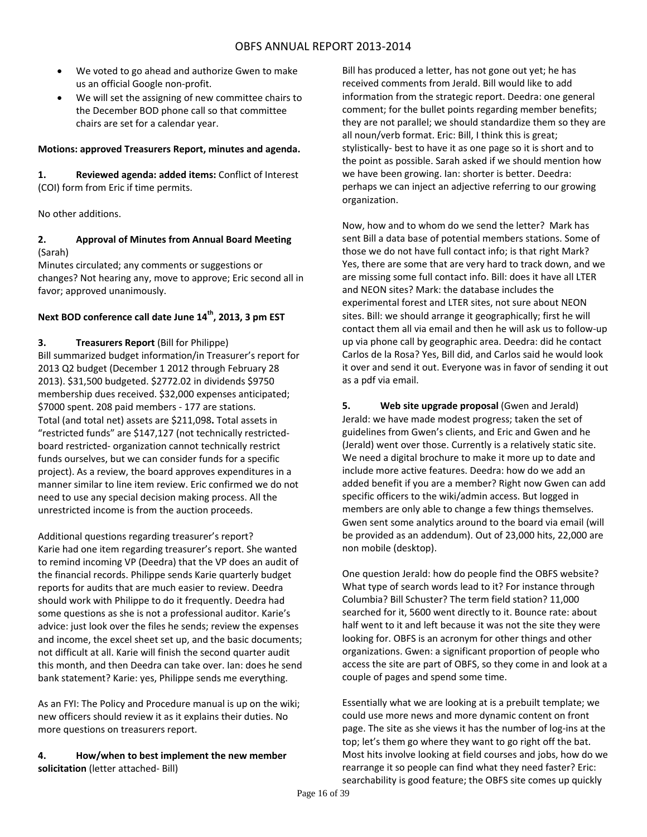- We voted to go ahead and authorize Gwen to make us an official Google non‐profit.
- We will set the assigning of new committee chairs to the December BOD phone call so that committee chairs are set for a calendar year.

#### **Motions: approved Treasurers Report, minutes and agenda.**

**1. Reviewed agenda: added items:** Conflict of Interest (COI) form from Eric if time permits.

No other additions.

## **2. Approval of Minutes from Annual Board Meeting** (Sarah)

Minutes circulated; any comments or suggestions or changes? Not hearing any, move to approve; Eric second all in favor; approved unanimously.

## **Next BOD conference call date June 14th, 2013, 3 pm EST**

#### **3. Treasurers Report** (Bill for Philippe)

Bill summarized budget information/in Treasurer's report for 2013 Q2 budget (December 1 2012 through February 28 2013). \$31,500 budgeted. \$2772.02 in dividends \$9750 membership dues received. \$32,000 expenses anticipated; \$7000 spent. 208 paid members ‐ 177 are stations. Total (and total net) assets are \$211,098**.** Total assets in "restricted funds" are \$147,127 (not technically restricted‐ board restricted‐ organization cannot technically restrict funds ourselves, but we can consider funds for a specific project). As a review, the board approves expenditures in a manner similar to line item review. Eric confirmed we do not need to use any special decision making process. All the unrestricted income is from the auction proceeds.

Additional questions regarding treasurer's report? Karie had one item regarding treasurer's report. She wanted to remind incoming VP (Deedra) that the VP does an audit of the financial records. Philippe sends Karie quarterly budget reports for audits that are much easier to review. Deedra should work with Philippe to do it frequently. Deedra had some questions as she is not a professional auditor. Karie's advice: just look over the files he sends; review the expenses and income, the excel sheet set up, and the basic documents; not difficult at all. Karie will finish the second quarter audit this month, and then Deedra can take over. Ian: does he send bank statement? Karie: yes, Philippe sends me everything.

As an FYI: The Policy and Procedure manual is up on the wiki; new officers should review it as it explains their duties. No more questions on treasurers report.

#### **4. How/when to best implement the new member solicitation** (letter attached‐ Bill)

Bill has produced a letter, has not gone out yet; he has received comments from Jerald. Bill would like to add information from the strategic report. Deedra: one general comment; for the bullet points regarding member benefits; they are not parallel; we should standardize them so they are all noun/verb format. Eric: Bill, I think this is great; stylistically‐ best to have it as one page so it is short and to the point as possible. Sarah asked if we should mention how we have been growing. Ian: shorter is better. Deedra: perhaps we can inject an adjective referring to our growing organization.

Now, how and to whom do we send the letter? Mark has sent Bill a data base of potential members stations. Some of those we do not have full contact info; is that right Mark? Yes, there are some that are very hard to track down, and we are missing some full contact info. Bill: does it have all LTER and NEON sites? Mark: the database includes the experimental forest and LTER sites, not sure about NEON sites. Bill: we should arrange it geographically; first he will contact them all via email and then he will ask us to follow‐up up via phone call by geographic area. Deedra: did he contact Carlos de la Rosa? Yes, Bill did, and Carlos said he would look it over and send it out. Everyone was in favor of sending it out as a pdf via email.

**5. Web site upgrade proposal** (Gwen and Jerald) Jerald: we have made modest progress; taken the set of guidelines from Gwen's clients, and Eric and Gwen and he (Jerald) went over those. Currently is a relatively static site. We need a digital brochure to make it more up to date and include more active features. Deedra: how do we add an added benefit if you are a member? Right now Gwen can add specific officers to the wiki/admin access. But logged in members are only able to change a few things themselves. Gwen sent some analytics around to the board via email (will be provided as an addendum). Out of 23,000 hits, 22,000 are non mobile (desktop).

One question Jerald: how do people find the OBFS website? What type of search words lead to it? For instance through Columbia? Bill Schuster? The term field station? 11,000 searched for it, 5600 went directly to it. Bounce rate: about half went to it and left because it was not the site they were looking for. OBFS is an acronym for other things and other organizations. Gwen: a significant proportion of people who access the site are part of OBFS, so they come in and look at a couple of pages and spend some time.

Essentially what we are looking at is a prebuilt template; we could use more news and more dynamic content on front page. The site as she views it has the number of log‐ins at the top; let's them go where they want to go right off the bat. Most hits involve looking at field courses and jobs, how do we rearrange it so people can find what they need faster? Eric: searchability is good feature; the OBFS site comes up quickly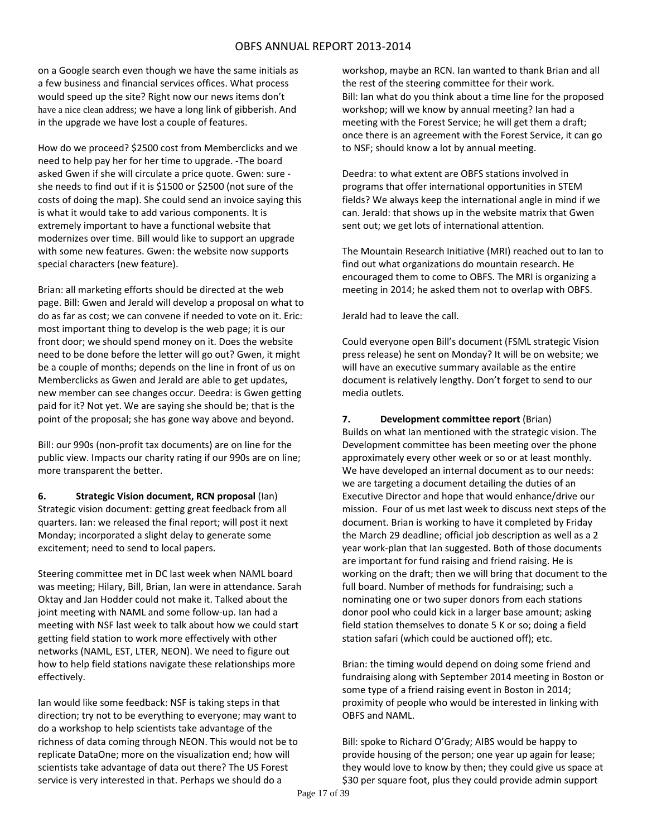on a Google search even though we have the same initials as a few business and financial services offices. What process would speed up the site? Right now our news items don't have a nice clean address; we have a long link of gibberish. And in the upgrade we have lost a couple of features.

How do we proceed? \$2500 cost from Memberclicks and we need to help pay her for her time to upgrade. ‐The board asked Gwen if she will circulate a price quote. Gwen: sure ‐ she needs to find out if it is \$1500 or \$2500 (not sure of the costs of doing the map). She could send an invoice saying this is what it would take to add various components. It is extremely important to have a functional website that modernizes over time. Bill would like to support an upgrade with some new features. Gwen: the website now supports special characters (new feature).

Brian: all marketing efforts should be directed at the web page. Bill: Gwen and Jerald will develop a proposal on what to do as far as cost; we can convene if needed to vote on it. Eric: most important thing to develop is the web page; it is our front door; we should spend money on it. Does the website need to be done before the letter will go out? Gwen, it might be a couple of months; depends on the line in front of us on Memberclicks as Gwen and Jerald are able to get updates, new member can see changes occur. Deedra: is Gwen getting paid for it? Not yet. We are saying she should be; that is the point of the proposal; she has gone way above and beyond.

Bill: our 990s (non‐profit tax documents) are on line for the public view. Impacts our charity rating if our 990s are on line; more transparent the better.

**6. Strategic Vision document, RCN proposal** (Ian) Strategic vision document: getting great feedback from all quarters. Ian: we released the final report; will post it next Monday; incorporated a slight delay to generate some excitement; need to send to local papers.

Steering committee met in DC last week when NAML board was meeting; Hilary, Bill, Brian, Ian were in attendance. Sarah Oktay and Jan Hodder could not make it. Talked about the joint meeting with NAML and some follow-up. Ian had a meeting with NSF last week to talk about how we could start getting field station to work more effectively with other networks (NAML, EST, LTER, NEON). We need to figure out how to help field stations navigate these relationships more effectively.

Ian would like some feedback: NSF is taking steps in that direction; try not to be everything to everyone; may want to do a workshop to help scientists take advantage of the richness of data coming through NEON. This would not be to replicate DataOne; more on the visualization end; how will scientists take advantage of data out there? The US Forest service is very interested in that. Perhaps we should do a

workshop, maybe an RCN. Ian wanted to thank Brian and all the rest of the steering committee for their work. Bill: Ian what do you think about a time line for the proposed workshop; will we know by annual meeting? Ian had a meeting with the Forest Service; he will get them a draft; once there is an agreement with the Forest Service, it can go to NSF; should know a lot by annual meeting.

Deedra: to what extent are OBFS stations involved in programs that offer international opportunities in STEM fields? We always keep the international angle in mind if we can. Jerald: that shows up in the website matrix that Gwen sent out; we get lots of international attention.

The Mountain Research Initiative (MRI) reached out to Ian to find out what organizations do mountain research. He encouraged them to come to OBFS. The MRI is organizing a meeting in 2014; he asked them not to overlap with OBFS.

Jerald had to leave the call.

Could everyone open Bill's document (FSML strategic Vision press release) he sent on Monday? It will be on website; we will have an executive summary available as the entire document is relatively lengthy. Don't forget to send to our media outlets.

**7. Development committee report** (Brian)

Builds on what Ian mentioned with the strategic vision. The Development committee has been meeting over the phone approximately every other week or so or at least monthly. We have developed an internal document as to our needs: we are targeting a document detailing the duties of an Executive Director and hope that would enhance/drive our mission. Four of us met last week to discuss next steps of the document. Brian is working to have it completed by Friday the March 29 deadline; official job description as well as a 2 year work‐plan that Ian suggested. Both of those documents are important for fund raising and friend raising. He is working on the draft; then we will bring that document to the full board. Number of methods for fundraising; such a nominating one or two super donors from each stations donor pool who could kick in a larger base amount; asking field station themselves to donate 5 K or so; doing a field station safari (which could be auctioned off); etc.

Brian: the timing would depend on doing some friend and fundraising along with September 2014 meeting in Boston or some type of a friend raising event in Boston in 2014; proximity of people who would be interested in linking with OBFS and NAML.

Bill: spoke to Richard O'Grady; AIBS would be happy to provide housing of the person; one year up again for lease; they would love to know by then; they could give us space at \$30 per square foot, plus they could provide admin support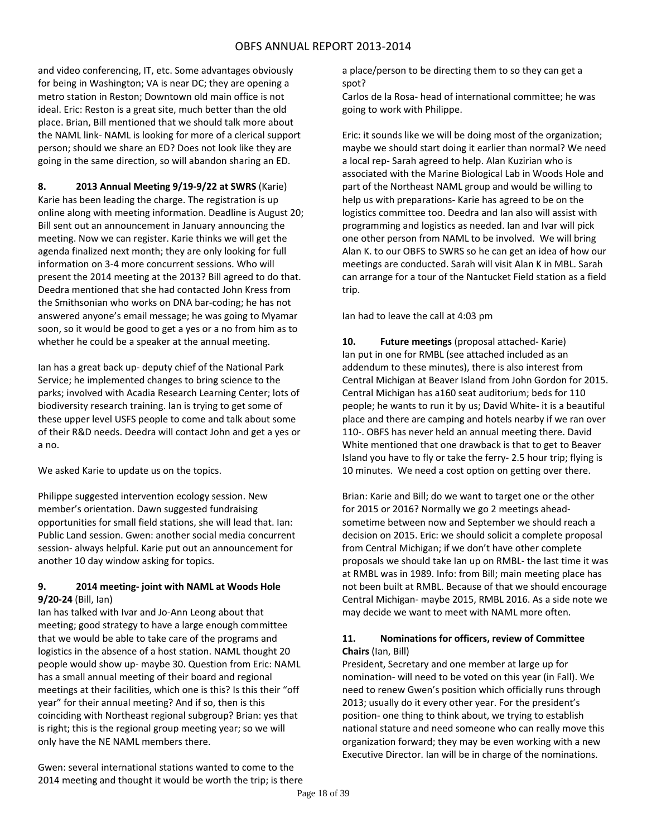and video conferencing, IT, etc. Some advantages obviously for being in Washington; VA is near DC; they are opening a metro station in Reston; Downtown old main office is not ideal. Eric: Reston is a great site, much better than the old place. Brian, Bill mentioned that we should talk more about the NAML link‐ NAML is looking for more of a clerical support person; should we share an ED? Does not look like they are going in the same direction, so will abandon sharing an ED.

**8. 2013 Annual Meeting 9/19‐9/22 at SWRS** (Karie) Karie has been leading the charge. The registration is up online along with meeting information. Deadline is August 20; Bill sent out an announcement in January announcing the meeting. Now we can register. Karie thinks we will get the agenda finalized next month; they are only looking for full information on 3‐4 more concurrent sessions. Who will present the 2014 meeting at the 2013? Bill agreed to do that. Deedra mentioned that she had contacted John Kress from the Smithsonian who works on DNA bar‐coding; he has not answered anyone's email message; he was going to Myamar soon, so it would be good to get a yes or a no from him as to whether he could be a speaker at the annual meeting.

Ian has a great back up‐ deputy chief of the National Park Service; he implemented changes to bring science to the parks; involved with Acadia Research Learning Center; lots of biodiversity research training. Ian is trying to get some of these upper level USFS people to come and talk about some of their R&D needs. Deedra will contact John and get a yes or a no.

We asked Karie to update us on the topics.

Philippe suggested intervention ecology session. New member's orientation. Dawn suggested fundraising opportunities for small field stations, she will lead that. Ian: Public Land session. Gwen: another social media concurrent session- always helpful. Karie put out an announcement for another 10 day window asking for topics.

## **9. 2014 meeting‐ joint with NAML at Woods Hole 9/20‐24** (Bill, Ian)

Ian has talked with Ivar and Jo‐Ann Leong about that meeting; good strategy to have a large enough committee that we would be able to take care of the programs and logistics in the absence of a host station. NAML thought 20 people would show up‐ maybe 30. Question from Eric: NAML has a small annual meeting of their board and regional meetings at their facilities, which one is this? Is this their "off year" for their annual meeting? And if so, then is this coinciding with Northeast regional subgroup? Brian: yes that is right; this is the regional group meeting year; so we will only have the NE NAML members there.

Gwen: several international stations wanted to come to the 2014 meeting and thought it would be worth the trip; is there a place/person to be directing them to so they can get a spot?

Carlos de la Rosa‐ head of international committee; he was going to work with Philippe.

Eric: it sounds like we will be doing most of the organization; maybe we should start doing it earlier than normal? We need a local rep‐ Sarah agreed to help. Alan Kuzirian who is associated with the Marine Biological Lab in Woods Hole and part of the Northeast NAML group and would be willing to help us with preparations‐ Karie has agreed to be on the logistics committee too. Deedra and Ian also will assist with programming and logistics as needed. Ian and Ivar will pick one other person from NAML to be involved. We will bring Alan K. to our OBFS to SWRS so he can get an idea of how our meetings are conducted. Sarah will visit Alan K in MBL. Sarah can arrange for a tour of the Nantucket Field station as a field trip.

Ian had to leave the call at 4:03 pm

**10. Future meetings** (proposal attached‐ Karie) Ian put in one for RMBL (see attached included as an addendum to these minutes), there is also interest from Central Michigan at Beaver Island from John Gordon for 2015. Central Michigan has a160 seat auditorium; beds for 110 people; he wants to run it by us; David White‐ it is a beautiful place and there are camping and hotels nearby if we ran over 110‐. OBFS has never held an annual meeting there. David White mentioned that one drawback is that to get to Beaver Island you have to fly or take the ferry‐ 2.5 hour trip; flying is 10 minutes. We need a cost option on getting over there.

Brian: Karie and Bill; do we want to target one or the other for 2015 or 2016? Normally we go 2 meetings ahead‐ sometime between now and September we should reach a decision on 2015. Eric: we should solicit a complete proposal from Central Michigan; if we don't have other complete proposals we should take Ian up on RMBL‐ the last time it was at RMBL was in 1989. Info: from Bill; main meeting place has not been built at RMBL. Because of that we should encourage Central Michigan‐ maybe 2015, RMBL 2016. As a side note we may decide we want to meet with NAML more often.

## **11. Nominations for officers, review of Committee Chairs** (Ian, Bill)

President, Secretary and one member at large up for nomination‐ will need to be voted on this year (in Fall). We need to renew Gwen's position which officially runs through 2013; usually do it every other year. For the president's position‐ one thing to think about, we trying to establish national stature and need someone who can really move this organization forward; they may be even working with a new Executive Director. Ian will be in charge of the nominations.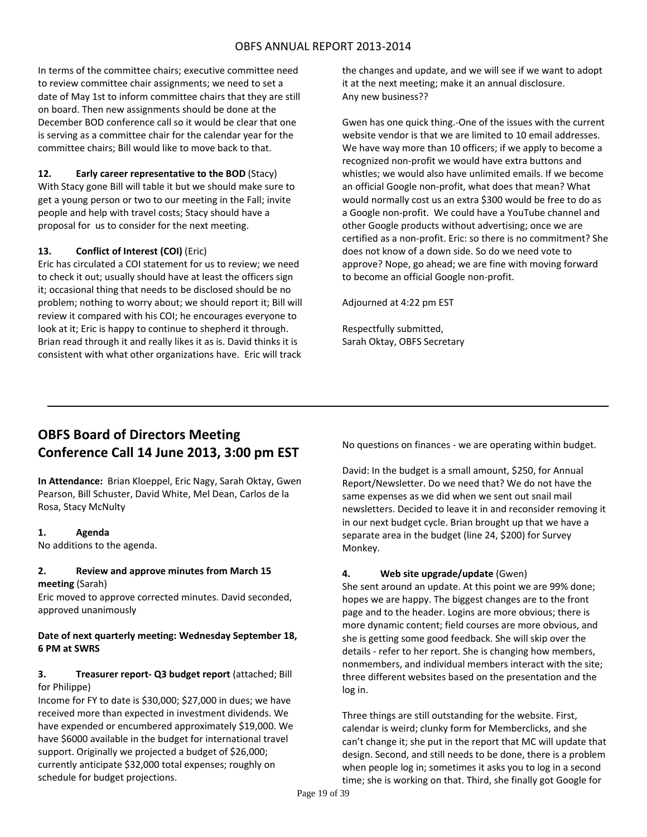In terms of the committee chairs; executive committee need to review committee chair assignments; we need to set a date of May 1st to inform committee chairs that they are still on board. Then new assignments should be done at the December BOD conference call so it would be clear that one is serving as a committee chair for the calendar year for the committee chairs; Bill would like to move back to that.

## **12. Early career representative to the BOD** (Stacy)

With Stacy gone Bill will table it but we should make sure to get a young person or two to our meeting in the Fall; invite people and help with travel costs; Stacy should have a proposal for us to consider for the next meeting.

## **13. Conflict of Interest (COI)** (Eric)

Eric has circulated a COI statement for us to review; we need to check it out; usually should have at least the officers sign it; occasional thing that needs to be disclosed should be no problem; nothing to worry about; we should report it; Bill will review it compared with his COI; he encourages everyone to look at it; Eric is happy to continue to shepherd it through. Brian read through it and really likes it as is. David thinks it is consistent with what other organizations have. Eric will track

the changes and update, and we will see if we want to adopt it at the next meeting; make it an annual disclosure. Any new business??

Gwen has one quick thing.‐One of the issues with the current website vendor is that we are limited to 10 email addresses. We have way more than 10 officers; if we apply to become a recognized non‐profit we would have extra buttons and whistles; we would also have unlimited emails. If we become an official Google non‐profit, what does that mean? What would normally cost us an extra \$300 would be free to do as a Google non‐profit. We could have a YouTube channel and other Google products without advertising; once we are certified as a non‐profit. Eric: so there is no commitment? She does not know of a down side. So do we need vote to approve? Nope, go ahead; we are fine with moving forward to become an official Google non‐profit.

Adjourned at 4:22 pm EST

Respectfully submitted, Sarah Oktay, OBFS Secretary

# **OBFS Board of Directors Meeting Conference Call 14 June 2013, 3:00 pm EST**

**In Attendance:** Brian Kloeppel, Eric Nagy, Sarah Oktay, Gwen Pearson, Bill Schuster, David White, Mel Dean, Carlos de la Rosa, Stacy McNulty

## **1. Agenda**

No additions to the agenda.

#### **2. Review and approve minutes from March 15 meeting** (Sarah)

Eric moved to approve corrected minutes. David seconded, approved unanimously

## **Date of next quarterly meeting: Wednesday September 18, 6 PM at SWRS**

## **3. Treasurer report‐ Q3 budget report** (attached; Bill for Philippe)

Income for FY to date is \$30,000; \$27,000 in dues; we have received more than expected in investment dividends. We have expended or encumbered approximately \$19,000. We have \$6000 available in the budget for international travel support. Originally we projected a budget of \$26,000; currently anticipate \$32,000 total expenses; roughly on schedule for budget projections.

No questions on finances ‐ we are operating within budget.

David: In the budget is a small amount, \$250, for Annual Report/Newsletter. Do we need that? We do not have the same expenses as we did when we sent out snail mail newsletters. Decided to leave it in and reconsider removing it in our next budget cycle. Brian brought up that we have a separate area in the budget (line 24, \$200) for Survey Monkey.

## **4. Web site upgrade/update** (Gwen)

She sent around an update. At this point we are 99% done; hopes we are happy. The biggest changes are to the front page and to the header. Logins are more obvious; there is more dynamic content; field courses are more obvious, and she is getting some good feedback. She will skip over the details ‐ refer to her report. She is changing how members, nonmembers, and individual members interact with the site; three different websites based on the presentation and the log in.

Three things are still outstanding for the website. First, calendar is weird; clunky form for Memberclicks, and she can't change it; she put in the report that MC will update that design. Second, and still needs to be done, there is a problem when people log in; sometimes it asks you to log in a second time; she is working on that. Third, she finally got Google for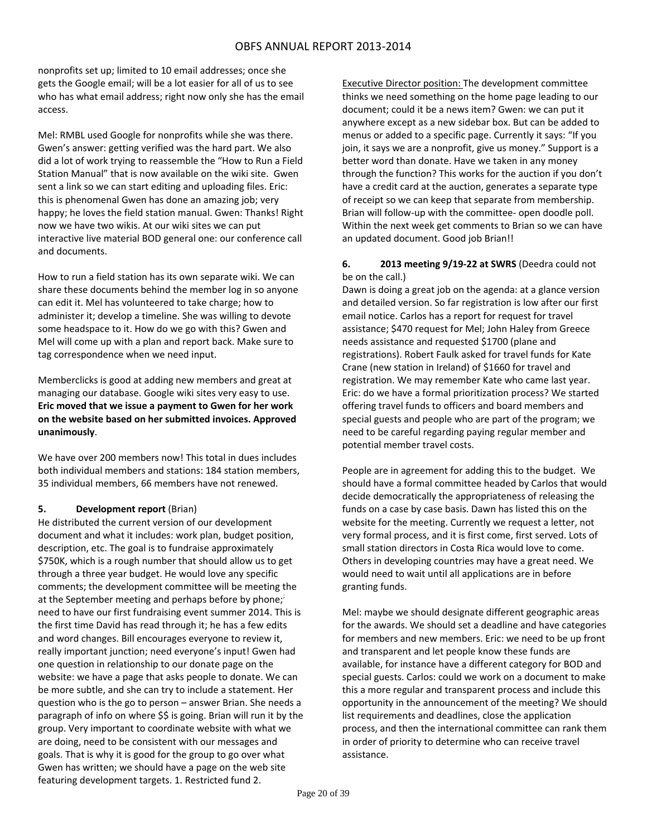nonprofits set up; limited to 10 email addresses; once she gets the Google email; will be a lot easier for all of us to see who has what email address; right now only she has the email access.

Mel: RMBL used Google for nonprofits while she was there. Gwen's answer: getting verified was the hard part. We also did a lot of work trying to reassemble the "How to Run a Field Station Manual" that is now available on the wiki site. Gwen sent a link so we can start editing and uploading files. Eric: this is phenomenal Gwen has done an amazing job; very happy; he loves the field station manual. Gwen: Thanks! Right now we have two wikis. At our wiki sites we can put interactive live material BOD general one: our conference call and documents.

How to run a field station has its own separate wiki. We can share these documents behind the member log in so anyone can edit it. Mel has volunteered to take charge; how to administer it; develop a timeline. She was willing to devote some headspace to it. How do we go with this? Gwen and Mel will come up with a plan and report back. Make sure to tag correspondence when we need input.

Memberclicks is good at adding new members and great at managing our database. Google wiki sites very easy to use. **Eric moved that we issue a payment to Gwen for her work on the website based on her submitted invoices. Approved unanimously**.

We have over 200 members now! This total in dues includes both individual members and stations: 184 station members, 35 individual members, 66 members have not renewed.

## **5. Development report** (Brian)

He distributed the current version of our development document and what it includes: work plan, budget position, description, etc. The goal is to fundraise approximately \$750K, which is a rough number that should allow us to get through a three year budget. He would love any specific comments; the development committee will be meeting the at the September meeting and perhaps before by phone; need to have our first fundraising event summer 2014. This is the first time David has read through it; he has a few edits and word changes. Bill encourages everyone to review it, really important junction; need everyone's input! Gwen had one question in relationship to our donate page on the website: we have a page that asks people to donate. We can be more subtle, and she can try to include a statement. Her question who is the go to person – answer Brian. She needs a paragraph of info on where \$\$ is going. Brian will run it by the group. Very important to coordinate website with what we are doing, need to be consistent with our messages and goals. That is why it is good for the group to go over what Gwen has written; we should have a page on the web site featuring development targets. 1. Restricted fund 2.

Executive Director position: The development committee thinks we need something on the home page leading to our document; could it be a news item? Gwen: we can put it anywhere except as a new sidebar box. But can be added to menus or added to a specific page. Currently it says: "If you join, it says we are a nonprofit, give us money." Support is a better word than donate. Have we taken in any money through the function? This works for the auction if you don't have a credit card at the auction, generates a separate type of receipt so we can keep that separate from membership. Brian will follow‐up with the committee‐ open doodle poll. Within the next week get comments to Brian so we can have an updated document. Good job Brian!!

## **6. 2013 meeting 9/19‐22 at SWRS** (Deedra could not be on the call.)

Dawn is doing a great job on the agenda: at a glance version and detailed version. So far registration is low after our first email notice. Carlos has a report for request for travel assistance; \$470 request for Mel; John Haley from Greece needs assistance and requested \$1700 (plane and registrations). Robert Faulk asked for travel funds for Kate Crane (new station in Ireland) of \$1660 for travel and registration. We may remember Kate who came last year. Eric: do we have a formal prioritization process? We started offering travel funds to officers and board members and special guests and people who are part of the program; we need to be careful regarding paying regular member and potential member travel costs.

People are in agreement for adding this to the budget. We should have a formal committee headed by Carlos that would decide democratically the appropriateness of releasing the funds on a case by case basis. Dawn has listed this on the website for the meeting. Currently we request a letter, not very formal process, and it is first come, first served. Lots of small station directors in Costa Rica would love to come. Others in developing countries may have a great need. We would need to wait until all applications are in before granting funds.

Mel: maybe we should designate different geographic areas for the awards. We should set a deadline and have categories for members and new members. Eric: we need to be up front and transparent and let people know these funds are available, for instance have a different category for BOD and special guests. Carlos: could we work on a document to make this a more regular and transparent process and include this opportunity in the announcement of the meeting? We should list requirements and deadlines, close the application process, and then the international committee can rank them in order of priority to determine who can receive travel assistance.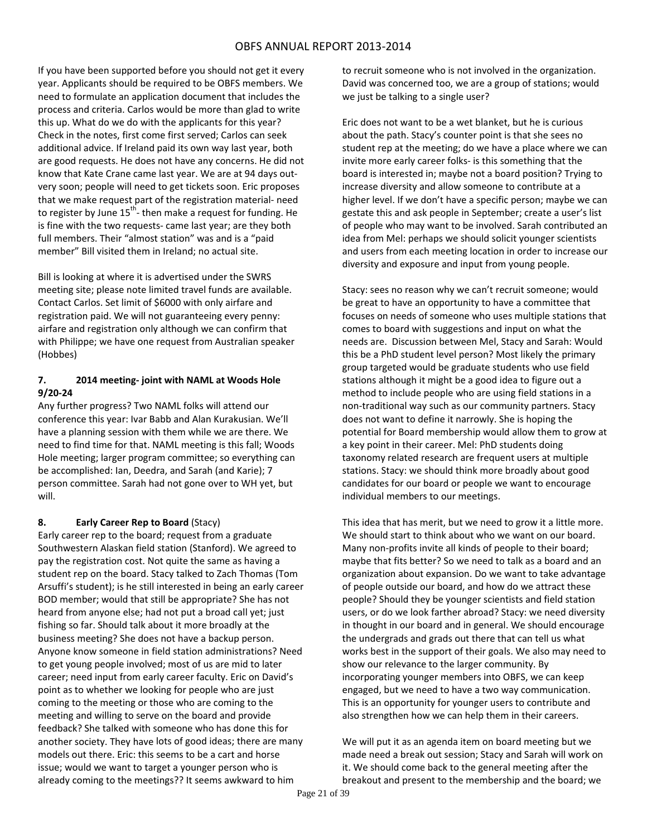If you have been supported before you should not get it every year. Applicants should be required to be OBFS members. We need to formulate an application document that includes the process and criteria. Carlos would be more than glad to write this up. What do we do with the applicants for this year? Check in the notes, first come first served; Carlos can seek additional advice. If Ireland paid its own way last year, both are good requests. He does not have any concerns. He did not know that Kate Crane came last year. We are at 94 days out‐ very soon; people will need to get tickets soon. Eric proposes that we make request part of the registration material‐ need to register by June 15<sup>th</sup>- then make a request for funding. He is fine with the two requests‐ came last year; are they both full members. Their "almost station" was and is a "paid member" Bill visited them in Ireland; no actual site.

Bill is looking at where it is advertised under the SWRS meeting site; please note limited travel funds are available. Contact Carlos. Set limit of \$6000 with only airfare and registration paid. We will not guaranteeing every penny: airfare and registration only although we can confirm that with Philippe; we have one request from Australian speaker (Hobbes)

## **7. 2014 meeting‐ joint with NAML at Woods Hole 9/20‐24**

Any further progress? Two NAML folks will attend our conference this year: Ivar Babb and Alan Kurakusian. We'll have a planning session with them while we are there. We need to find time for that. NAML meeting is this fall; Woods Hole meeting; larger program committee; so everything can be accomplished: Ian, Deedra, and Sarah (and Karie); 7 person committee. Sarah had not gone over to WH yet, but will.

## **8. Early Career Rep to Board** (Stacy)

Early career rep to the board; request from a graduate Southwestern Alaskan field station (Stanford). We agreed to pay the registration cost. Not quite the same as having a student rep on the board. Stacy talked to Zach Thomas (Tom Arsuffi's student); is he still interested in being an early career BOD member; would that still be appropriate? She has not heard from anyone else; had not put a broad call yet; just fishing so far. Should talk about it more broadly at the business meeting? She does not have a backup person. Anyone know someone in field station administrations? Need to get young people involved; most of us are mid to later career; need input from early career faculty. Eric on David's point as to whether we looking for people who are just coming to the meeting or those who are coming to the meeting and willing to serve on the board and provide feedback? She talked with someone who has done this for another society. They have lots of good ideas; there are many models out there. Eric: this seems to be a cart and horse issue; would we want to target a younger person who is already coming to the meetings?? It seems awkward to him

to recruit someone who is not involved in the organization. David was concerned too, we are a group of stations; would we just be talking to a single user?

Eric does not want to be a wet blanket, but he is curious about the path. Stacy's counter point is that she sees no student rep at the meeting; do we have a place where we can invite more early career folks‐ is this something that the board is interested in; maybe not a board position? Trying to increase diversity and allow someone to contribute at a higher level. If we don't have a specific person; maybe we can gestate this and ask people in September; create a user's list of people who may want to be involved. Sarah contributed an idea from Mel: perhaps we should solicit younger scientists and users from each meeting location in order to increase our diversity and exposure and input from young people.

Stacy: sees no reason why we can't recruit someone; would be great to have an opportunity to have a committee that focuses on needs of someone who uses multiple stations that comes to board with suggestions and input on what the needs are. Discussion between Mel, Stacy and Sarah: Would this be a PhD student level person? Most likely the primary group targeted would be graduate students who use field stations although it might be a good idea to figure out a method to include people who are using field stations in a non‐traditional way such as our community partners. Stacy does not want to define it narrowly. She is hoping the potential for Board membership would allow them to grow at a key point in their career. Mel: PhD students doing taxonomy related research are frequent users at multiple stations. Stacy: we should think more broadly about good candidates for our board or people we want to encourage individual members to our meetings.

This idea that has merit, but we need to grow it a little more. We should start to think about who we want on our board. Many non‐profits invite all kinds of people to their board; maybe that fits better? So we need to talk as a board and an organization about expansion. Do we want to take advantage of people outside our board, and how do we attract these people? Should they be younger scientists and field station users, or do we look farther abroad? Stacy: we need diversity in thought in our board and in general. We should encourage the undergrads and grads out there that can tell us what works best in the support of their goals. We also may need to show our relevance to the larger community. By incorporating younger members into OBFS, we can keep engaged, but we need to have a two way communication. This is an opportunity for younger users to contribute and also strengthen how we can help them in their careers.

We will put it as an agenda item on board meeting but we made need a break out session; Stacy and Sarah will work on it. We should come back to the general meeting after the breakout and present to the membership and the board; we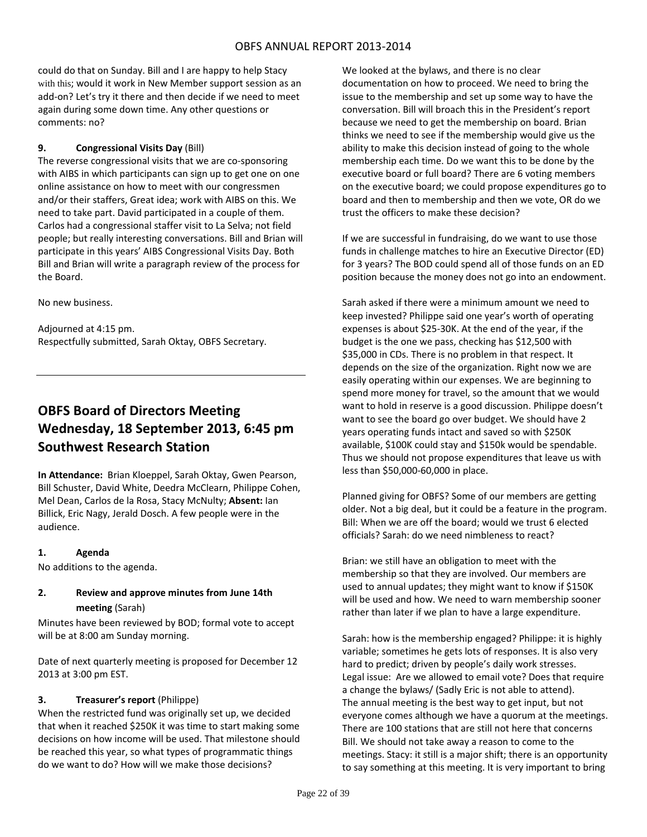could do that on Sunday. Bill and I are happy to help Stacy with this; would it work in New Member support session as an add‐on? Let's try it there and then decide if we need to meet again during some down time. Any other questions or comments: no?

## **9. Congressional Visits Day** (Bill)

The reverse congressional visits that we are co-sponsoring with AIBS in which participants can sign up to get one on one online assistance on how to meet with our congressmen and/or their staffers, Great idea; work with AIBS on this. We need to take part. David participated in a couple of them. Carlos had a congressional staffer visit to La Selva; not field people; but really interesting conversations. Bill and Brian will participate in this years' AIBS Congressional Visits Day. Both Bill and Brian will write a paragraph review of the process for the Board.

No new business.

Adjourned at 4:15 pm. Respectfully submitted, Sarah Oktay, OBFS Secretary.

# **OBFS Board of Directors Meeting Wednesday, 18 September 2013, 6:45 pm Southwest Research Station**

**In Attendance:** Brian Kloeppel, Sarah Oktay, Gwen Pearson, Bill Schuster, David White, Deedra McClearn, Philippe Cohen, Mel Dean, Carlos de la Rosa, Stacy McNulty; **Absent:** Ian Billick, Eric Nagy, Jerald Dosch. A few people were in the audience.

## **1. Agenda**

No additions to the agenda.

## **2. Review and approve minutes from June 14th meeting** (Sarah)

Minutes have been reviewed by BOD; formal vote to accept will be at 8:00 am Sunday morning.

Date of next quarterly meeting is proposed for December 12 2013 at 3:00 pm EST.

## **3. Treasurer's report** (Philippe)

When the restricted fund was originally set up, we decided that when it reached \$250K it was time to start making some decisions on how income will be used. That milestone should be reached this year, so what types of programmatic things do we want to do? How will we make those decisions?

We looked at the bylaws, and there is no clear documentation on how to proceed. We need to bring the issue to the membership and set up some way to have the conversation. Bill will broach this in the President's report because we need to get the membership on board. Brian thinks we need to see if the membership would give us the ability to make this decision instead of going to the whole membership each time. Do we want this to be done by the executive board or full board? There are 6 voting members on the executive board; we could propose expenditures go to board and then to membership and then we vote, OR do we trust the officers to make these decision?

If we are successful in fundraising, do we want to use those funds in challenge matches to hire an Executive Director (ED) for 3 years? The BOD could spend all of those funds on an ED position because the money does not go into an endowment.

Sarah asked if there were a minimum amount we need to keep invested? Philippe said one year's worth of operating expenses is about \$25‐30K. At the end of the year, if the budget is the one we pass, checking has \$12,500 with \$35,000 in CDs. There is no problem in that respect. It depends on the size of the organization. Right now we are easily operating within our expenses. We are beginning to spend more money for travel, so the amount that we would want to hold in reserve is a good discussion. Philippe doesn't want to see the board go over budget. We should have 2 years operating funds intact and saved so with \$250K available, \$100K could stay and \$150k would be spendable. Thus we should not propose expenditures that leave us with less than \$50,000‐60,000 in place.

Planned giving for OBFS? Some of our members are getting older. Not a big deal, but it could be a feature in the program. Bill: When we are off the board; would we trust 6 elected officials? Sarah: do we need nimbleness to react?

Brian: we still have an obligation to meet with the membership so that they are involved. Our members are used to annual updates; they might want to know if \$150K will be used and how. We need to warn membership sooner rather than later if we plan to have a large expenditure.

Sarah: how is the membership engaged? Philippe: it is highly variable; sometimes he gets lots of responses. It is also very hard to predict; driven by people's daily work stresses. Legal issue: Are we allowed to email vote? Does that require a change the bylaws/ (Sadly Eric is not able to attend). The annual meeting is the best way to get input, but not everyone comes although we have a quorum at the meetings. There are 100 stations that are still not here that concerns Bill. We should not take away a reason to come to the meetings. Stacy: it still is a major shift; there is an opportunity to say something at this meeting. It is very important to bring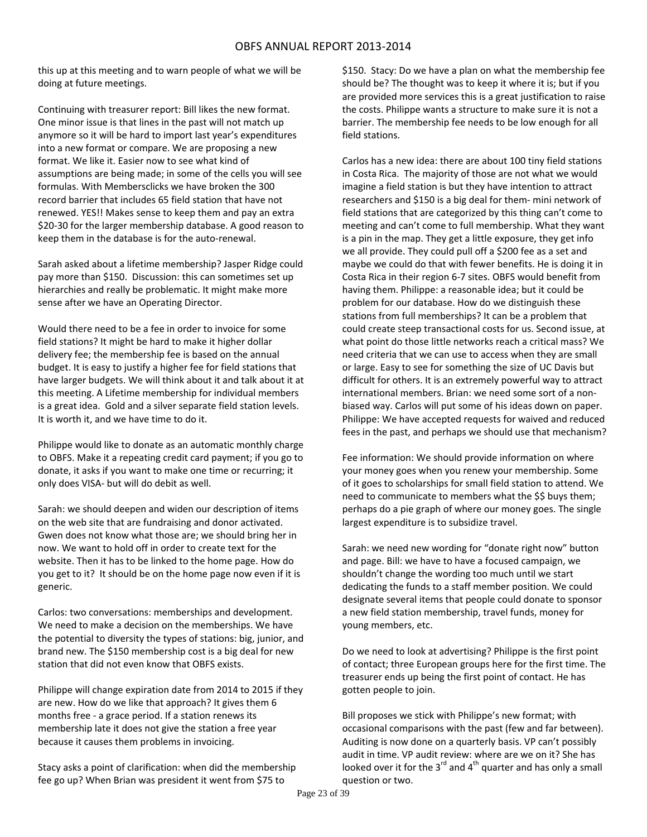this up at this meeting and to warn people of what we will be doing at future meetings.

Continuing with treasurer report: Bill likes the new format. One minor issue is that lines in the past will not match up anymore so it will be hard to import last year's expenditures into a new format or compare. We are proposing a new format. We like it. Easier now to see what kind of assumptions are being made; in some of the cells you will see formulas. With Membersclicks we have broken the 300 record barrier that includes 65 field station that have not renewed. YES!! Makes sense to keep them and pay an extra \$20‐30 for the larger membership database. A good reason to keep them in the database is for the auto‐renewal.

Sarah asked about a lifetime membership? Jasper Ridge could pay more than \$150. Discussion: this can sometimes set up hierarchies and really be problematic. It might make more sense after we have an Operating Director.

Would there need to be a fee in order to invoice for some field stations? It might be hard to make it higher dollar delivery fee; the membership fee is based on the annual budget. It is easy to justify a higher fee for field stations that have larger budgets. We will think about it and talk about it at this meeting. A Lifetime membership for individual members is a great idea. Gold and a silver separate field station levels. It is worth it, and we have time to do it.

Philippe would like to donate as an automatic monthly charge to OBFS. Make it a repeating credit card payment; if you go to donate, it asks if you want to make one time or recurring; it only does VISA‐ but will do debit as well.

Sarah: we should deepen and widen our description of items on the web site that are fundraising and donor activated. Gwen does not know what those are; we should bring her in now. We want to hold off in order to create text for the website. Then it has to be linked to the home page. How do you get to it? It should be on the home page now even if it is generic.

Carlos: two conversations: memberships and development. We need to make a decision on the memberships. We have the potential to diversity the types of stations: big, junior, and brand new. The \$150 membership cost is a big deal for new station that did not even know that OBFS exists.

Philippe will change expiration date from 2014 to 2015 if they are new. How do we like that approach? It gives them 6 months free ‐ a grace period. If a station renews its membership late it does not give the station a free year because it causes them problems in invoicing.

Stacy asks a point of clarification: when did the membership fee go up? When Brian was president it went from \$75 to

\$150. Stacy: Do we have a plan on what the membership fee should be? The thought was to keep it where it is; but if you are provided more services this is a great justification to raise the costs. Philippe wants a structure to make sure it is not a barrier. The membership fee needs to be low enough for all field stations.

Carlos has a new idea: there are about 100 tiny field stations in Costa Rica. The majority of those are not what we would imagine a field station is but they have intention to attract researchers and \$150 is a big deal for them‐ mini network of field stations that are categorized by this thing can't come to meeting and can't come to full membership. What they want is a pin in the map. They get a little exposure, they get info we all provide. They could pull off a \$200 fee as a set and maybe we could do that with fewer benefits. He is doing it in Costa Rica in their region 6‐7 sites. OBFS would benefit from having them. Philippe: a reasonable idea; but it could be problem for our database. How do we distinguish these stations from full memberships? It can be a problem that could create steep transactional costs for us. Second issue, at what point do those little networks reach a critical mass? We need criteria that we can use to access when they are small or large. Easy to see for something the size of UC Davis but difficult for others. It is an extremely powerful way to attract international members. Brian: we need some sort of a non‐ biased way. Carlos will put some of his ideas down on paper. Philippe: We have accepted requests for waived and reduced fees in the past, and perhaps we should use that mechanism?

Fee information: We should provide information on where your money goes when you renew your membership. Some of it goes to scholarships for small field station to attend. We need to communicate to members what the \$\$ buys them; perhaps do a pie graph of where our money goes. The single largest expenditure is to subsidize travel.

Sarah: we need new wording for "donate right now" button and page. Bill: we have to have a focused campaign, we shouldn't change the wording too much until we start dedicating the funds to a staff member position. We could designate several items that people could donate to sponsor a new field station membership, travel funds, money for young members, etc.

Do we need to look at advertising? Philippe is the first point of contact; three European groups here for the first time. The treasurer ends up being the first point of contact. He has gotten people to join.

Bill proposes we stick with Philippe's new format; with occasional comparisons with the past (few and far between). Auditing is now done on a quarterly basis. VP can't possibly audit in time. VP audit review: where are we on it? She has looked over it for the  $3<sup>rd</sup>$  and  $4<sup>th</sup>$  quarter and has only a small question or two.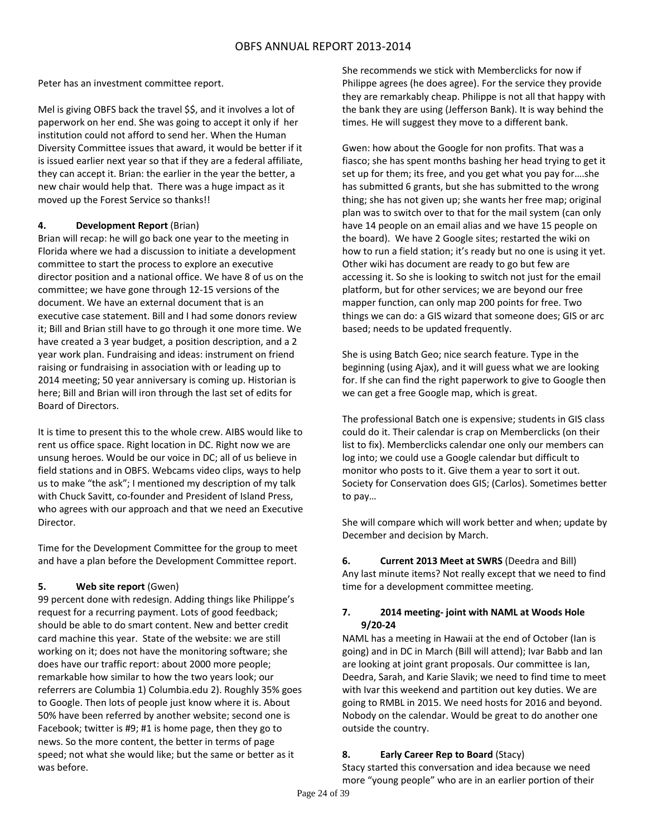Peter has an investment committee report.

Mel is giving OBFS back the travel \$\$, and it involves a lot of paperwork on her end. She was going to accept it only if her institution could not afford to send her. When the Human Diversity Committee issues that award, it would be better if it is issued earlier next year so that if they are a federal affiliate, they can accept it. Brian: the earlier in the year the better, a new chair would help that. There was a huge impact as it moved up the Forest Service so thanks!!

## **4. Development Report** (Brian)

Brian will recap: he will go back one year to the meeting in Florida where we had a discussion to initiate a development committee to start the process to explore an executive director position and a national office. We have 8 of us on the committee; we have gone through 12‐15 versions of the document. We have an external document that is an executive case statement. Bill and I had some donors review it; Bill and Brian still have to go through it one more time. We have created a 3 year budget, a position description, and a 2 year work plan. Fundraising and ideas: instrument on friend raising or fundraising in association with or leading up to 2014 meeting; 50 year anniversary is coming up. Historian is here; Bill and Brian will iron through the last set of edits for Board of Directors.

It is time to present this to the whole crew. AIBS would like to rent us office space. Right location in DC. Right now we are unsung heroes. Would be our voice in DC; all of us believe in field stations and in OBFS. Webcams video clips, ways to help us to make "the ask"; I mentioned my description of my talk with Chuck Savitt, co-founder and President of Island Press, who agrees with our approach and that we need an Executive Director.

Time for the Development Committee for the group to meet and have a plan before the Development Committee report.

## **5. Web site report** (Gwen)

99 percent done with redesign. Adding things like Philippe's request for a recurring payment. Lots of good feedback; should be able to do smart content. New and better credit card machine this year. State of the website: we are still working on it; does not have the monitoring software; she does have our traffic report: about 2000 more people; remarkable how similar to how the two years look; our referrers are Columbia 1) Columbia.edu 2). Roughly 35% goes to Google. Then lots of people just know where it is. About 50% have been referred by another website; second one is Facebook; twitter is #9; #1 is home page, then they go to news. So the more content, the better in terms of page speed; not what she would like; but the same or better as it was before.

She recommends we stick with Memberclicks for now if Philippe agrees (he does agree). For the service they provide they are remarkably cheap. Philippe is not all that happy with the bank they are using (Jefferson Bank). It is way behind the times. He will suggest they move to a different bank.

Gwen: how about the Google for non profits. That was a fiasco; she has spent months bashing her head trying to get it set up for them; its free, and you get what you pay for….she has submitted 6 grants, but she has submitted to the wrong thing; she has not given up; she wants her free map; original plan was to switch over to that for the mail system (can only have 14 people on an email alias and we have 15 people on the board). We have 2 Google sites; restarted the wiki on how to run a field station; it's ready but no one is using it yet. Other wiki has document are ready to go but few are accessing it. So she is looking to switch not just for the email platform, but for other services; we are beyond our free mapper function, can only map 200 points for free. Two things we can do: a GIS wizard that someone does; GIS or arc based; needs to be updated frequently.

She is using Batch Geo; nice search feature. Type in the beginning (using Ajax), and it will guess what we are looking for. If she can find the right paperwork to give to Google then we can get a free Google map, which is great.

The professional Batch one is expensive; students in GIS class could do it. Their calendar is crap on Memberclicks (on their list to fix). Memberclicks calendar one only our members can log into; we could use a Google calendar but difficult to monitor who posts to it. Give them a year to sort it out. Society for Conservation does GIS; (Carlos). Sometimes better to pay…

She will compare which will work better and when; update by December and decision by March.

**6. Current 2013 Meet at SWRS** (Deedra and Bill) Any last minute items? Not really except that we need to find time for a development committee meeting.

## **7. 2014 meeting‐ joint with NAML at Woods Hole 9/20‐24**

NAML has a meeting in Hawaii at the end of October (Ian is going) and in DC in March (Bill will attend); Ivar Babb and Ian are looking at joint grant proposals. Our committee is Ian, Deedra, Sarah, and Karie Slavik; we need to find time to meet with Ivar this weekend and partition out key duties. We are going to RMBL in 2015. We need hosts for 2016 and beyond. Nobody on the calendar. Would be great to do another one outside the country.

## **8. Early Career Rep to Board** (Stacy)

Stacy started this conversation and idea because we need more "young people" who are in an earlier portion of their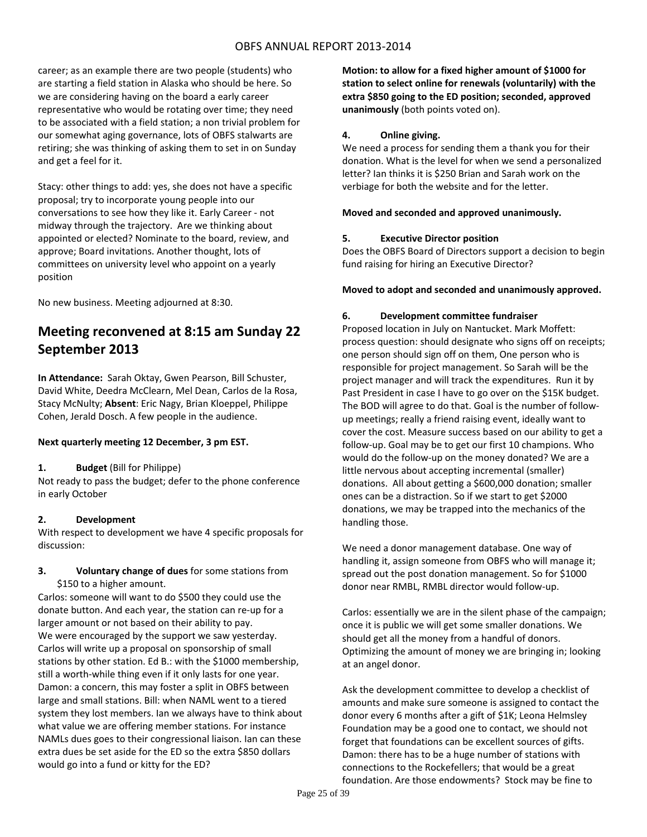career; as an example there are two people (students) who are starting a field station in Alaska who should be here. So we are considering having on the board a early career representative who would be rotating over time; they need to be associated with a field station; a non trivial problem for our somewhat aging governance, lots of OBFS stalwarts are retiring; she was thinking of asking them to set in on Sunday and get a feel for it.

Stacy: other things to add: yes, she does not have a specific proposal; try to incorporate young people into our conversations to see how they like it. Early Career ‐ not midway through the trajectory. Are we thinking about appointed or elected? Nominate to the board, review, and approve; Board invitations. Another thought, lots of committees on university level who appoint on a yearly position

No new business. Meeting adjourned at 8:30.

# **Meeting reconvened at 8:15 am Sunday 22 September 2013**

**In Attendance:** Sarah Oktay, Gwen Pearson, Bill Schuster, David White, Deedra McClearn, Mel Dean, Carlos de la Rosa, Stacy McNulty; **Absent**: Eric Nagy, Brian Kloeppel, Philippe Cohen, Jerald Dosch. A few people in the audience.

## **Next quarterly meeting 12 December, 3 pm EST.**

#### **1. Budget** (Bill for Philippe)

Not ready to pass the budget; defer to the phone conference in early October

## **2. Development**

With respect to development we have 4 specific proposals for discussion:

## **3. Voluntary change of dues** for some stations from \$150 to a higher amount.

Carlos: someone will want to do \$500 they could use the donate button. And each year, the station can re‐up for a larger amount or not based on their ability to pay. We were encouraged by the support we saw yesterday. Carlos will write up a proposal on sponsorship of small stations by other station. Ed B.: with the \$1000 membership, still a worth‐while thing even if it only lasts for one year. Damon: a concern, this may foster a split in OBFS between large and small stations. Bill: when NAML went to a tiered system they lost members. Ian we always have to think about what value we are offering member stations. For instance NAMLs dues goes to their congressional liaison. Ian can these extra dues be set aside for the ED so the extra \$850 dollars would go into a fund or kitty for the ED?

**Motion: to allow for a fixed higher amount of \$1000 for station to select online for renewals (voluntarily) with the extra \$850 going to the ED position; seconded, approved unanimously** (both points voted on).

#### **4. Online giving.**

We need a process for sending them a thank you for their donation. What is the level for when we send a personalized letter? Ian thinks it is \$250 Brian and Sarah work on the verbiage for both the website and for the letter.

#### **Moved and seconded and approved unanimously.**

#### **5. Executive Director position**

Does the OBFS Board of Directors support a decision to begin fund raising for hiring an Executive Director?

#### **Moved to adopt and seconded and unanimously approved.**

#### **6. Development committee fundraiser**

Proposed location in July on Nantucket. Mark Moffett: process question: should designate who signs off on receipts; one person should sign off on them, One person who is responsible for project management. So Sarah will be the project manager and will track the expenditures. Run it by Past President in case I have to go over on the \$15K budget. The BOD will agree to do that. Goal is the number of follow‐ up meetings; really a friend raising event, ideally want to cover the cost. Measure success based on our ability to get a follow‐up. Goal may be to get our first 10 champions. Who would do the follow‐up on the money donated? We are a little nervous about accepting incremental (smaller) donations. All about getting a \$600,000 donation; smaller ones can be a distraction. So if we start to get \$2000 donations, we may be trapped into the mechanics of the handling those.

We need a donor management database. One way of handling it, assign someone from OBFS who will manage it; spread out the post donation management. So for \$1000 donor near RMBL, RMBL director would follow‐up.

Carlos: essentially we are in the silent phase of the campaign; once it is public we will get some smaller donations. We should get all the money from a handful of donors. Optimizing the amount of money we are bringing in; looking at an angel donor.

Ask the development committee to develop a checklist of amounts and make sure someone is assigned to contact the donor every 6 months after a gift of \$1K; Leona Helmsley Foundation may be a good one to contact, we should not forget that foundations can be excellent sources of gifts. Damon: there has to be a huge number of stations with connections to the Rockefellers; that would be a great foundation. Are those endowments? Stock may be fine to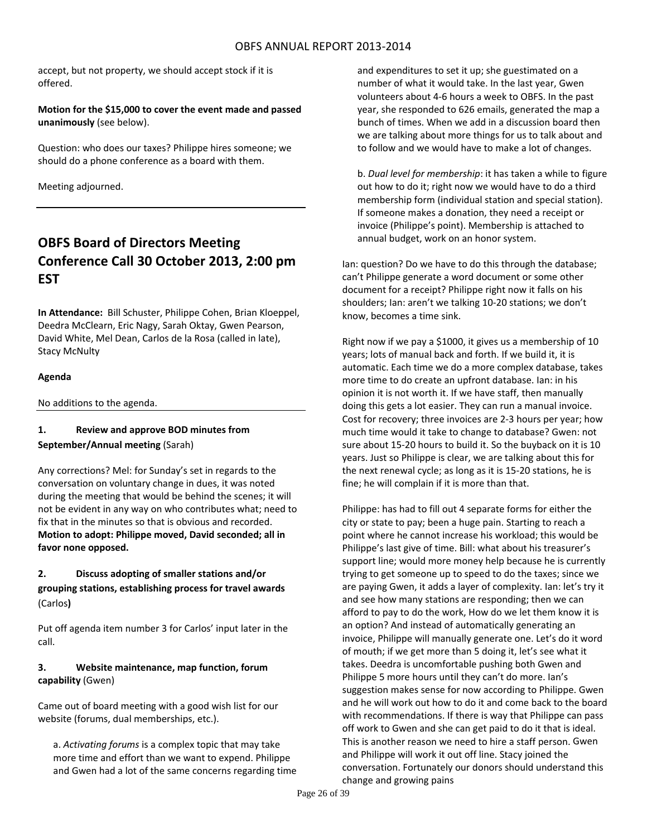accept, but not property, we should accept stock if it is offered.

**Motion for the \$15,000 to cover the event made and passed unanimously** (see below).

Question: who does our taxes? Philippe hires someone; we should do a phone conference as a board with them.

Meeting adjourned.

# **OBFS Board of Directors Meeting Conference Call 30 October 2013, 2:00 pm EST**

**In Attendance:** Bill Schuster, Philippe Cohen, Brian Kloeppel, Deedra McClearn, Eric Nagy, Sarah Oktay, Gwen Pearson, David White, Mel Dean, Carlos de la Rosa (called in late), Stacy McNulty

## **Agenda**

No additions to the agenda.

## **1. Review and approve BOD minutes from September/Annual meeting** (Sarah)

Any corrections? Mel: for Sunday's set in regards to the conversation on voluntary change in dues, it was noted during the meeting that would be behind the scenes; it will not be evident in any way on who contributes what; need to fix that in the minutes so that is obvious and recorded. **Motion to adopt: Philippe moved, David seconded; all in favor none opposed.**

# **2. Discuss adopting of smaller stations and/or**

**grouping stations, establishing process for travel awards** (Carlos**)**

Put off agenda item number 3 for Carlos' input later in the call.

## **3. Website maintenance, map function, forum capability** (Gwen)

Came out of board meeting with a good wish list for our website (forums, dual memberships, etc.).

a. *Activating forums* is a complex topic that may take more time and effort than we want to expend. Philippe and Gwen had a lot of the same concerns regarding time and expenditures to set it up; she guestimated on a number of what it would take. In the last year, Gwen volunteers about 4‐6 hours a week to OBFS. In the past year, she responded to 626 emails, generated the map a bunch of times. When we add in a discussion board then we are talking about more things for us to talk about and to follow and we would have to make a lot of changes.

b. *Dual level for membership*: it has taken a while to figure out how to do it; right now we would have to do a third membership form (individual station and special station). If someone makes a donation, they need a receipt or invoice (Philippe's point). Membership is attached to annual budget, work on an honor system.

Ian: question? Do we have to do this through the database; can't Philippe generate a word document or some other document for a receipt? Philippe right now it falls on his shoulders; Ian: aren't we talking 10‐20 stations; we don't know, becomes a time sink.

Right now if we pay a \$1000, it gives us a membership of 10 years; lots of manual back and forth. If we build it, it is automatic. Each time we do a more complex database, takes more time to do create an upfront database. Ian: in his opinion it is not worth it. If we have staff, then manually doing this gets a lot easier. They can run a manual invoice. Cost for recovery; three invoices are 2‐3 hours per year; how much time would it take to change to database? Gwen: not sure about 15‐20 hours to build it. So the buyback on it is 10 years. Just so Philippe is clear, we are talking about this for the next renewal cycle; as long as it is 15‐20 stations, he is fine; he will complain if it is more than that.

Philippe: has had to fill out 4 separate forms for either the city or state to pay; been a huge pain. Starting to reach a point where he cannot increase his workload; this would be Philippe's last give of time. Bill: what about his treasurer's support line; would more money help because he is currently trying to get someone up to speed to do the taxes; since we are paying Gwen, it adds a layer of complexity. Ian: let's try it and see how many stations are responding; then we can afford to pay to do the work, How do we let them know it is an option? And instead of automatically generating an invoice, Philippe will manually generate one. Let's do it word of mouth; if we get more than 5 doing it, let's see what it takes. Deedra is uncomfortable pushing both Gwen and Philippe 5 more hours until they can't do more. Ian's suggestion makes sense for now according to Philippe. Gwen and he will work out how to do it and come back to the board with recommendations. If there is way that Philippe can pass off work to Gwen and she can get paid to do it that is ideal. This is another reason we need to hire a staff person. Gwen and Philippe will work it out off line. Stacy joined the conversation. Fortunately our donors should understand this change and growing pains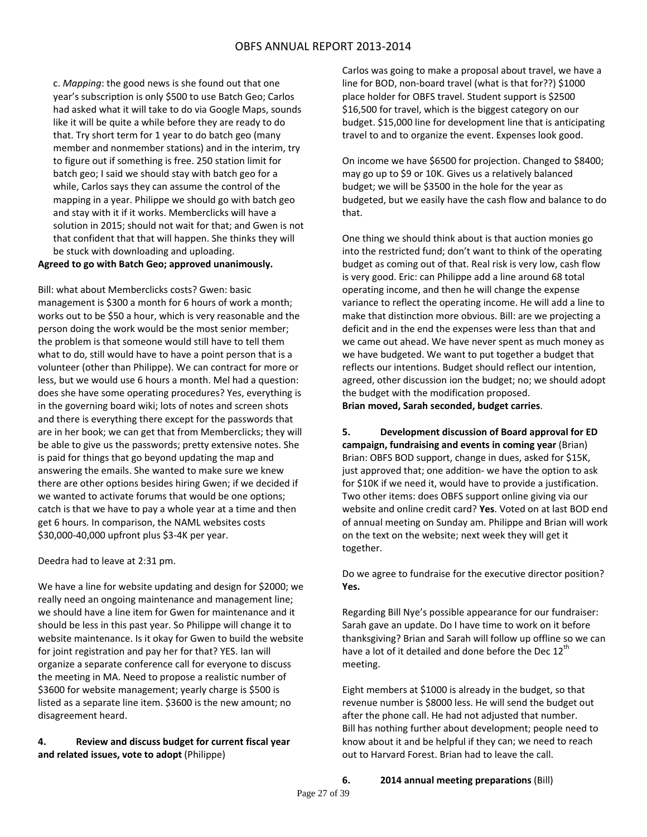c. *Mapping*: the good news is she found out that one year's subscription is only \$500 to use Batch Geo; Carlos had asked what it will take to do via Google Maps, sounds like it will be quite a while before they are ready to do that. Try short term for 1 year to do batch geo (many member and nonmember stations) and in the interim, try to figure out if something is free. 250 station limit for batch geo; I said we should stay with batch geo for a while, Carlos says they can assume the control of the mapping in a year. Philippe we should go with batch geo and stay with it if it works. Memberclicks will have a solution in 2015; should not wait for that; and Gwen is not that confident that that will happen. She thinks they will be stuck with downloading and uploading.

## **Agreed to go with Batch Geo; approved unanimously.**

Bill: what about Memberclicks costs? Gwen: basic management is \$300 a month for 6 hours of work a month; works out to be \$50 a hour, which is very reasonable and the person doing the work would be the most senior member; the problem is that someone would still have to tell them what to do, still would have to have a point person that is a volunteer (other than Philippe). We can contract for more or less, but we would use 6 hours a month. Mel had a question: does she have some operating procedures? Yes, everything is in the governing board wiki; lots of notes and screen shots and there is everything there except for the passwords that are in her book; we can get that from Memberclicks; they will be able to give us the passwords; pretty extensive notes. She is paid for things that go beyond updating the map and answering the emails. She wanted to make sure we knew there are other options besides hiring Gwen; if we decided if we wanted to activate forums that would be one options; catch is that we have to pay a whole year at a time and then get 6 hours. In comparison, the NAML websites costs \$30,000‐40,000 upfront plus \$3‐4K per year.

## Deedra had to leave at 2:31 pm.

We have a line for website updating and design for \$2000; we really need an ongoing maintenance and management line; we should have a line item for Gwen for maintenance and it should be less in this past year. So Philippe will change it to website maintenance. Is it okay for Gwen to build the website for joint registration and pay her for that? YES. Ian will organize a separate conference call for everyone to discuss the meeting in MA. Need to propose a realistic number of \$3600 for website management; yearly charge is \$500 is listed as a separate line item. \$3600 is the new amount; no disagreement heard.

## **4. Review and discuss budget for current fiscal year and related issues, vote to adopt** (Philippe)

Carlos was going to make a proposal about travel, we have a line for BOD, non-board travel (what is that for??) \$1000 place holder for OBFS travel. Student support is \$2500 \$16,500 for travel, which is the biggest category on our budget. \$15,000 line for development line that is anticipating travel to and to organize the event. Expenses look good.

On income we have \$6500 for projection. Changed to \$8400; may go up to \$9 or 10K. Gives us a relatively balanced budget; we will be \$3500 in the hole for the year as budgeted, but we easily have the cash flow and balance to do that.

One thing we should think about is that auction monies go into the restricted fund; don't want to think of the operating budget as coming out of that. Real risk is very low, cash flow is very good. Eric: can Philippe add a line around 68 total operating income, and then he will change the expense variance to reflect the operating income. He will add a line to make that distinction more obvious. Bill: are we projecting a deficit and in the end the expenses were less than that and we came out ahead. We have never spent as much money as we have budgeted. We want to put together a budget that reflects our intentions. Budget should reflect our intention, agreed, other discussion ion the budget; no; we should adopt the budget with the modification proposed.

**Brian moved, Sarah seconded, budget carries**.

**5. Development discussion of Board approval for ED campaign, fundraising and events in coming year** (Brian) Brian: OBFS BOD support, change in dues, asked for \$15K, just approved that; one addition‐ we have the option to ask for \$10K if we need it, would have to provide a justification. Two other items: does OBFS support online giving via our website and online credit card? **Yes**. Voted on at last BOD end of annual meeting on Sunday am. Philippe and Brian will work on the text on the website; next week they will get it together.

Do we agree to fundraise for the executive director position? **Yes.**

Regarding Bill Nye's possible appearance for our fundraiser: Sarah gave an update. Do I have time to work on it before thanksgiving? Brian and Sarah will follow up offline so we can have a lot of it detailed and done before the Dec 12<sup>th</sup> meeting.

Eight members at \$1000 is already in the budget, so that revenue number is \$8000 less. He will send the budget out after the phone call. He had not adjusted that number. Bill has nothing further about development; people need to know about it and be helpful if they can; we need to reach out to Harvard Forest. Brian had to leave the call.

**6. 2014 annual meeting preparations** (Bill)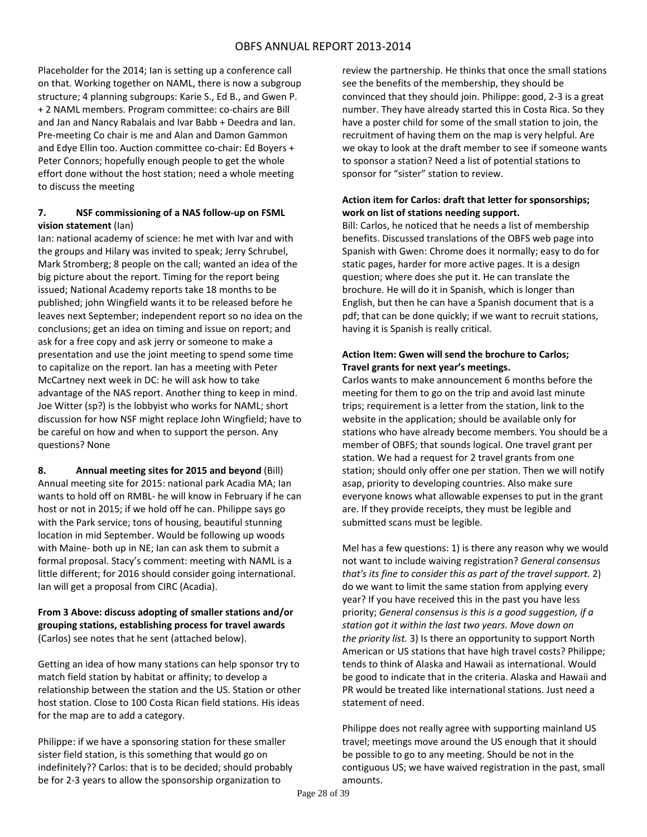Placeholder for the 2014; Ian is setting up a conference call on that. Working together on NAML, there is now a subgroup structure; 4 planning subgroups: Karie S., Ed B., and Gwen P. + 2 NAML members. Program committee: co-chairs are Bill and Jan and Nancy Rabalais and Ivar Babb + Deedra and Ian. Pre‐meeting Co chair is me and Alan and Damon Gammon and Edye Ellin too. Auction committee co-chair: Ed Boyers + Peter Connors; hopefully enough people to get the whole effort done without the host station; need a whole meeting to discuss the meeting

## **7. NSF commissioning of a NAS follow‐up on FSML vision statement** (Ian)

Ian: national academy of science: he met with Ivar and with the groups and Hilary was invited to speak; Jerry Schrubel, Mark Stromberg; 8 people on the call; wanted an idea of the big picture about the report. Timing for the report being issued; National Academy reports take 18 months to be published; john Wingfield wants it to be released before he leaves next September; independent report so no idea on the conclusions; get an idea on timing and issue on report; and ask for a free copy and ask jerry or someone to make a presentation and use the joint meeting to spend some time to capitalize on the report. Ian has a meeting with Peter McCartney next week in DC: he will ask how to take advantage of the NAS report. Another thing to keep in mind. Joe Witter (sp?) is the lobbyist who works for NAML; short discussion for how NSF might replace John Wingfield; have to be careful on how and when to support the person. Any questions? None

**8. Annual meeting sites for 2015 and beyond** (Bill) Annual meeting site for 2015: national park Acadia MA; Ian wants to hold off on RMBL‐ he will know in February if he can host or not in 2015; if we hold off he can. Philippe says go with the Park service; tons of housing, beautiful stunning location in mid September. Would be following up woods with Maine‐ both up in NE; Ian can ask them to submit a formal proposal. Stacy's comment: meeting with NAML is a little different; for 2016 should consider going international. Ian will get a proposal from CIRC (Acadia).

## **From 3 Above: discuss adopting of smaller stations and/or grouping stations, establishing process for travel awards** (Carlos) see notes that he sent (attached below).

Getting an idea of how many stations can help sponsor try to match field station by habitat or affinity; to develop a relationship between the station and the US. Station or other host station. Close to 100 Costa Rican field stations. His ideas for the map are to add a category.

Philippe: if we have a sponsoring station for these smaller sister field station, is this something that would go on indefinitely?? Carlos: that is to be decided; should probably be for 2‐3 years to allow the sponsorship organization to

review the partnership. He thinks that once the small stations see the benefits of the membership, they should be convinced that they should join. Philippe: good, 2‐3 is a great number. They have already started this in Costa Rica. So they have a poster child for some of the small station to join, the recruitment of having them on the map is very helpful. Are we okay to look at the draft member to see if someone wants to sponsor a station? Need a list of potential stations to sponsor for "sister" station to review.

## **Action item for Carlos: draft that letter for sponsorships; work on list of stations needing support.**

Bill: Carlos, he noticed that he needs a list of membership benefits. Discussed translations of the OBFS web page into Spanish with Gwen: Chrome does it normally; easy to do for static pages, harder for more active pages. It is a design question; where does she put it. He can translate the brochure. He will do it in Spanish, which is longer than English, but then he can have a Spanish document that is a pdf; that can be done quickly; if we want to recruit stations, having it is Spanish is really critical.

## **Action Item: Gwen will send the brochure to Carlos; Travel grants for next year's meetings.**

Carlos wants to make announcement 6 months before the meeting for them to go on the trip and avoid last minute trips; requirement is a letter from the station, link to the website in the application; should be available only for stations who have already become members. You should be a member of OBFS; that sounds logical. One travel grant per station. We had a request for 2 travel grants from one station; should only offer one per station. Then we will notify asap, priority to developing countries. Also make sure everyone knows what allowable expenses to put in the grant are. If they provide receipts, they must be legible and submitted scans must be legible.

Mel has a few questions: 1) is there any reason why we would not want to include waiving registration? *General consensus that's its fine to consider this as part of the travel support.* 2) do we want to limit the same station from applying every year? If you have received this in the past you have less priority; *General consensus is this is a good suggestion, if a station got it within the last two years. Move down on the priority list.* 3) Is there an opportunity to support North American or US stations that have high travel costs? Philippe; tends to think of Alaska and Hawaii as international. Would be good to indicate that in the criteria. Alaska and Hawaii and PR would be treated like international stations. Just need a statement of need.

Philippe does not really agree with supporting mainland US travel; meetings move around the US enough that it should be possible to go to any meeting. Should be not in the contiguous US; we have waived registration in the past, small amounts.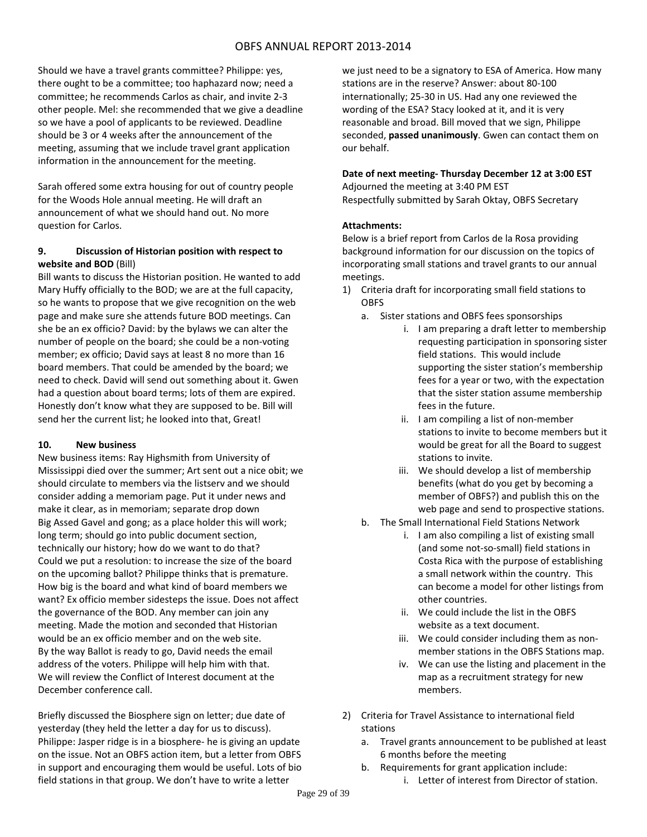Should we have a travel grants committee? Philippe: yes, there ought to be a committee; too haphazard now; need a committee; he recommends Carlos as chair, and invite 2‐3 other people. Mel: she recommended that we give a deadline so we have a pool of applicants to be reviewed. Deadline should be 3 or 4 weeks after the announcement of the meeting, assuming that we include travel grant application information in the announcement for the meeting.

Sarah offered some extra housing for out of country people for the Woods Hole annual meeting. He will draft an announcement of what we should hand out. No more question for Carlos.

## **9. Discussion of Historian position with respect to website and BOD** (Bill)

Bill wants to discuss the Historian position. He wanted to add Mary Huffy officially to the BOD; we are at the full capacity, so he wants to propose that we give recognition on the web page and make sure she attends future BOD meetings. Can she be an ex officio? David: by the bylaws we can alter the number of people on the board; she could be a non‐voting member; ex officio; David says at least 8 no more than 16 board members. That could be amended by the board; we need to check. David will send out something about it. Gwen had a question about board terms; lots of them are expired. Honestly don't know what they are supposed to be. Bill will send her the current list; he looked into that, Great!

## **10. New business**

New business items: Ray Highsmith from University of Mississippi died over the summer; Art sent out a nice obit; we should circulate to members via the listserv and we should consider adding a memoriam page. Put it under news and make it clear, as in memoriam; separate drop down Big Assed Gavel and gong; as a place holder this will work; long term; should go into public document section, technically our history; how do we want to do that? Could we put a resolution: to increase the size of the board on the upcoming ballot? Philippe thinks that is premature. How big is the board and what kind of board members we want? Ex officio member sidesteps the issue. Does not affect the governance of the BOD. Any member can join any meeting. Made the motion and seconded that Historian would be an ex officio member and on the web site. By the way Ballot is ready to go, David needs the email address of the voters. Philippe will help him with that. We will review the Conflict of Interest document at the December conference call.

Briefly discussed the Biosphere sign on letter; due date of yesterday (they held the letter a day for us to discuss). Philippe: Jasper ridge is in a biosphere‐ he is giving an update on the issue. Not an OBFS action item, but a letter from OBFS in support and encouraging them would be useful. Lots of bio field stations in that group. We don't have to write a letter

we just need to be a signatory to ESA of America. How many stations are in the reserve? Answer: about 80‐100 internationally; 25‐30 in US. Had any one reviewed the wording of the ESA? Stacy looked at it, and it is very reasonable and broad. Bill moved that we sign, Philippe seconded, **passed unanimously**. Gwen can contact them on our behalf.

## **Date of next meeting‐ Thursday December 12 at 3:00 EST**

Adjourned the meeting at 3:40 PM EST Respectfully submitted by Sarah Oktay, OBFS Secretary

## **Attachments:**

Below is a brief report from Carlos de la Rosa providing background information for our discussion on the topics of incorporating small stations and travel grants to our annual meetings.

- 1) Criteria draft for incorporating small field stations to OBFS
	- a. Sister stations and OBFS fees sponsorships
		- i. I am preparing a draft letter to membership requesting participation in sponsoring sister field stations. This would include supporting the sister station's membership fees for a year or two, with the expectation that the sister station assume membership fees in the future.
		- ii. I am compiling a list of non-member stations to invite to become members but it would be great for all the Board to suggest stations to invite.
		- iii. We should develop a list of membership benefits (what do you get by becoming a member of OBFS?) and publish this on the web page and send to prospective stations.
	- b. The Small International Field Stations Network
		- i. I am also compiling a list of existing small (and some not‐so‐small) field stations in Costa Rica with the purpose of establishing a small network within the country. This can become a model for other listings from other countries.
		- ii. We could include the list in the OBFS website as a text document.
		- iii. We could consider including them as nonmember stations in the OBFS Stations map.
		- iv. We can use the listing and placement in the map as a recruitment strategy for new members.
- 2) Criteria for Travel Assistance to international field stations
	- a. Travel grants announcement to be published at least 6 months before the meeting
	- b. Requirements for grant application include: i. Letter of interest from Director of station.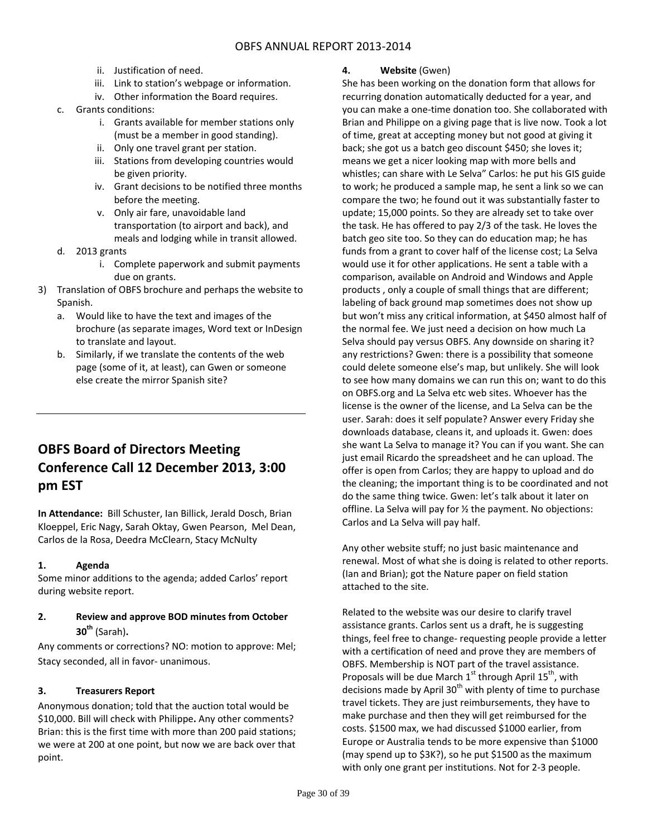- ii. Justification of need.
- iii. Link to station's webpage or information.
- iv. Other information the Board requires.
- c. Grants conditions:
	- i. Grants available for member stations only (must be a member in good standing).
	- ii. Only one travel grant per station.
	- iii. Stations from developing countries would be given priority.
	- iv. Grant decisions to be notified three months before the meeting.
	- v. Only air fare, unavoidable land transportation (to airport and back), and meals and lodging while in transit allowed.
- d. 2013 grants
	- i. Complete paperwork and submit payments due on grants.
- 3) Translation of OBFS brochure and perhaps the website to Spanish.
	- a. Would like to have the text and images of the brochure (as separate images, Word text or InDesign to translate and layout.
	- b. Similarly, if we translate the contents of the web page (some of it, at least), can Gwen or someone else create the mirror Spanish site?

# **OBFS Board of Directors Meeting Conference Call 12 December 2013, 3:00 pm EST**

**In Attendance:** Bill Schuster, Ian Billick, Jerald Dosch, Brian Kloeppel, Eric Nagy, Sarah Oktay, Gwen Pearson, Mel Dean, Carlos de la Rosa, Deedra McClearn, Stacy McNulty

## **1. Agenda**

Some minor additions to the agenda; added Carlos' report during website report.

## **2. Review and approve BOD minutes from October 30th** (Sarah)**.**

Any comments or corrections? NO: motion to approve: Mel; Stacy seconded, all in favor‐ unanimous.

## **3. Treasurers Report**

Anonymous donation; told that the auction total would be \$10,000. Bill will check with Philippe**.** Any other comments? Brian: this is the first time with more than 200 paid stations; we were at 200 at one point, but now we are back over that point.

## **4. Website** (Gwen)

She has been working on the donation form that allows for recurring donation automatically deducted for a year, and you can make a one‐time donation too. She collaborated with Brian and Philippe on a giving page that is live now. Took a lot of time, great at accepting money but not good at giving it back; she got us a batch geo discount \$450; she loves it; means we get a nicer looking map with more bells and whistles; can share with Le Selva" Carlos: he put his GIS guide to work; he produced a sample map, he sent a link so we can compare the two; he found out it was substantially faster to update; 15,000 points. So they are already set to take over the task. He has offered to pay 2/3 of the task. He loves the batch geo site too. So they can do education map; he has funds from a grant to cover half of the license cost; La Selva would use it for other applications. He sent a table with a comparison, available on Android and Windows and Apple products , only a couple of small things that are different; labeling of back ground map sometimes does not show up but won't miss any critical information, at \$450 almost half of the normal fee. We just need a decision on how much La Selva should pay versus OBFS. Any downside on sharing it? any restrictions? Gwen: there is a possibility that someone could delete someone else's map, but unlikely. She will look to see how many domains we can run this on; want to do this on OBFS.org and La Selva etc web sites. Whoever has the license is the owner of the license, and La Selva can be the user. Sarah: does it self populate? Answer every Friday she downloads database, cleans it, and uploads it. Gwen: does she want La Selva to manage it? You can if you want. She can just email Ricardo the spreadsheet and he can upload. The offer is open from Carlos; they are happy to upload and do the cleaning; the important thing is to be coordinated and not do the same thing twice. Gwen: let's talk about it later on offline. La Selva will pay for ½ the payment. No objections: Carlos and La Selva will pay half.

Any other website stuff; no just basic maintenance and renewal. Most of what she is doing is related to other reports. (Ian and Brian); got the Nature paper on field station attached to the site.

Related to the website was our desire to clarify travel assistance grants. Carlos sent us a draft, he is suggesting things, feel free to change‐ requesting people provide a letter with a certification of need and prove they are members of OBFS. Membership is NOT part of the travel assistance. Proposals will be due March  $1<sup>st</sup>$  through April  $15<sup>th</sup>$ , with decisions made by April  $30<sup>th</sup>$  with plenty of time to purchase travel tickets. They are just reimbursements, they have to make purchase and then they will get reimbursed for the costs. \$1500 max, we had discussed \$1000 earlier, from Europe or Australia tends to be more expensive than \$1000 (may spend up to \$3K?), so he put \$1500 as the maximum with only one grant per institutions. Not for 2‐3 people.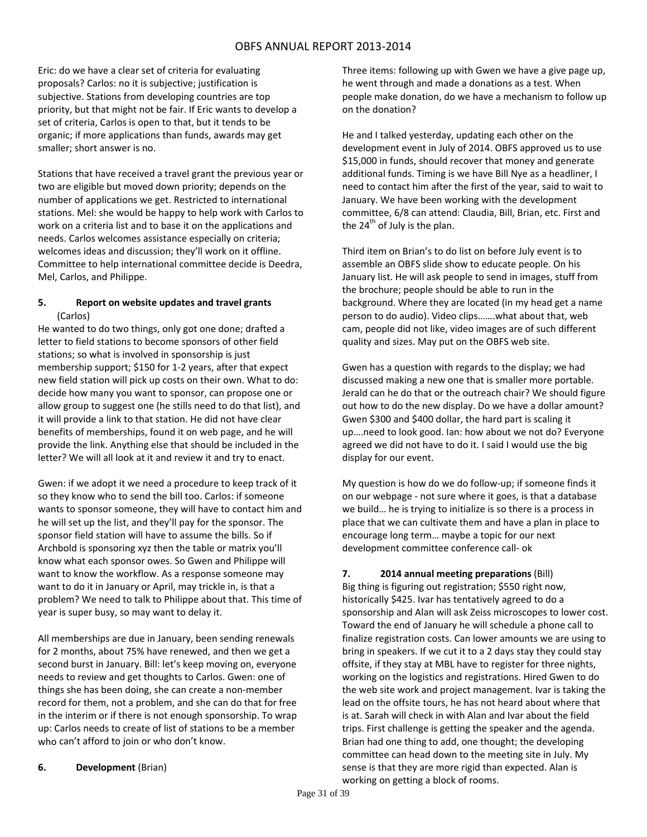Eric: do we have a clear set of criteria for evaluating proposals? Carlos: no it is subjective; justification is subjective. Stations from developing countries are top priority, but that might not be fair. If Eric wants to develop a set of criteria, Carlos is open to that, but it tends to be organic; if more applications than funds, awards may get smaller; short answer is no.

Stations that have received a travel grant the previous year or two are eligible but moved down priority; depends on the number of applications we get. Restricted to international stations. Mel: she would be happy to help work with Carlos to work on a criteria list and to base it on the applications and needs. Carlos welcomes assistance especially on criteria; welcomes ideas and discussion; they'll work on it offline. Committee to help international committee decide is Deedra, Mel, Carlos, and Philippe.

## **5. Report on website updates and travel grants** (Carlos)

He wanted to do two things, only got one done; drafted a letter to field stations to become sponsors of other field stations; so what is involved in sponsorship is just membership support; \$150 for 1‐2 years, after that expect new field station will pick up costs on their own. What to do: decide how many you want to sponsor, can propose one or allow group to suggest one (he stills need to do that list), and it will provide a link to that station. He did not have clear benefits of memberships, found it on web page, and he will provide the link. Anything else that should be included in the letter? We will all look at it and review it and try to enact.

Gwen: if we adopt it we need a procedure to keep track of it so they know who to send the bill too. Carlos: if someone wants to sponsor someone, they will have to contact him and he will set up the list, and they'll pay for the sponsor. The sponsor field station will have to assume the bills. So if Archbold is sponsoring xyz then the table or matrix you'll know what each sponsor owes. So Gwen and Philippe will want to know the workflow. As a response someone may want to do it in January or April, may trickle in, is that a problem? We need to talk to Philippe about that. This time of year is super busy, so may want to delay it.

All memberships are due in January, been sending renewals for 2 months, about 75% have renewed, and then we get a second burst in January. Bill: let's keep moving on, everyone needs to review and get thoughts to Carlos. Gwen: one of things she has been doing, she can create a non‐member record for them, not a problem, and she can do that for free in the interim or if there is not enough sponsorship. To wrap up: Carlos needs to create of list of stations to be a member who can't afford to join or who don't know.

Three items: following up with Gwen we have a give page up, he went through and made a donations as a test. When people make donation, do we have a mechanism to follow up on the donation?

He and I talked yesterday, updating each other on the development event in July of 2014. OBFS approved us to use \$15,000 in funds, should recover that money and generate additional funds. Timing is we have Bill Nye as a headliner, I need to contact him after the first of the year, said to wait to January. We have been working with the development committee, 6/8 can attend: Claudia, Bill, Brian, etc. First and the  $24<sup>th</sup>$  of July is the plan.

Third item on Brian's to do list on before July event is to assemble an OBFS slide show to educate people. On his January list. He will ask people to send in images, stuff from the brochure; people should be able to run in the background. Where they are located (in my head get a name person to do audio). Video clips…….what about that, web cam, people did not like, video images are of such different quality and sizes. May put on the OBFS web site.

Gwen has a question with regards to the display; we had discussed making a new one that is smaller more portable. Jerald can he do that or the outreach chair? We should figure out how to do the new display. Do we have a dollar amount? Gwen \$300 and \$400 dollar, the hard part is scaling it up….need to look good. Ian: how about we not do? Everyone agreed we did not have to do it. I said I would use the big display for our event.

My question is how do we do follow‐up; if someone finds it on our webpage ‐ not sure where it goes, is that a database we build… he is trying to initialize is so there is a process in place that we can cultivate them and have a plan in place to encourage long term… maybe a topic for our next development committee conference call‐ ok

## **7. 2014 annual meeting preparations** (Bill)

Big thing is figuring out registration; \$550 right now, historically \$425. Ivar has tentatively agreed to do a sponsorship and Alan will ask Zeiss microscopes to lower cost. Toward the end of January he will schedule a phone call to finalize registration costs. Can lower amounts we are using to bring in speakers. If we cut it to a 2 days stay they could stay offsite, if they stay at MBL have to register for three nights, working on the logistics and registrations. Hired Gwen to do the web site work and project management. Ivar is taking the lead on the offsite tours, he has not heard about where that is at. Sarah will check in with Alan and Ivar about the field trips. First challenge is getting the speaker and the agenda. Brian had one thing to add, one thought; the developing committee can head down to the meeting site in July. My sense is that they are more rigid than expected. Alan is working on getting a block of rooms.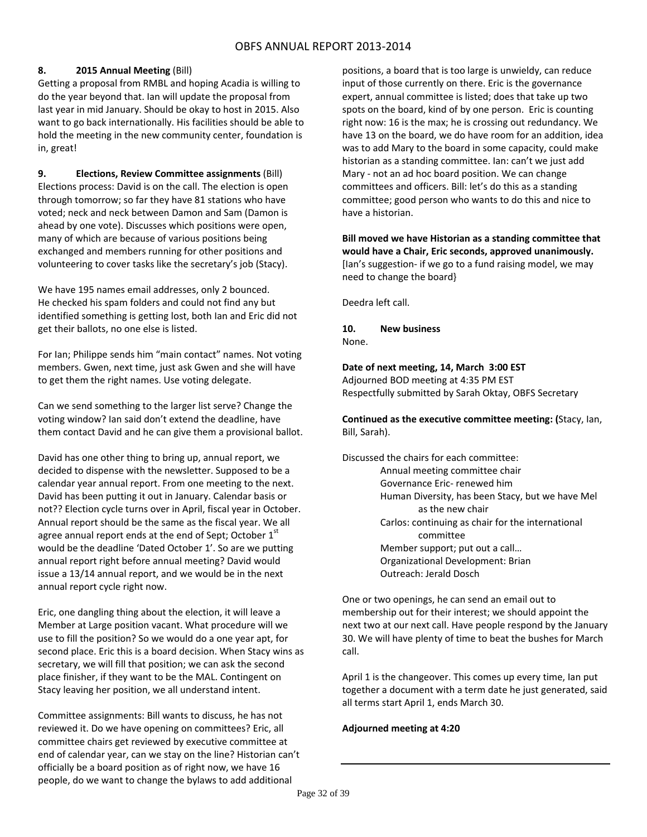## **8. 2015 Annual Meeting** (Bill)

Getting a proposal from RMBL and hoping Acadia is willing to do the year beyond that. Ian will update the proposal from last year in mid January. Should be okay to host in 2015. Also want to go back internationally. His facilities should be able to hold the meeting in the new community center, foundation is in, great!

**9. Elections, Review Committee assignments** (Bill) Elections process: David is on the call. The election is open through tomorrow; so far they have 81 stations who have voted; neck and neck between Damon and Sam (Damon is ahead by one vote). Discusses which positions were open, many of which are because of various positions being exchanged and members running for other positions and volunteering to cover tasks like the secretary's job (Stacy).

We have 195 names email addresses, only 2 bounced. He checked his spam folders and could not find any but identified something is getting lost, both Ian and Eric did not get their ballots, no one else is listed.

For Ian; Philippe sends him "main contact" names. Not voting members. Gwen, next time, just ask Gwen and she will have to get them the right names. Use voting delegate.

Can we send something to the larger list serve? Change the voting window? Ian said don't extend the deadline, have them contact David and he can give them a provisional ballot.

David has one other thing to bring up, annual report, we decided to dispense with the newsletter. Supposed to be a calendar year annual report. From one meeting to the next. David has been putting it out in January. Calendar basis or not?? Election cycle turns over in April, fiscal year in October. Annual report should be the same as the fiscal year. We all agree annual report ends at the end of Sept; October 1<sup>st</sup> would be the deadline 'Dated October 1'. So are we putting annual report right before annual meeting? David would issue a 13/14 annual report, and we would be in the next annual report cycle right now.

Eric, one dangling thing about the election, it will leave a Member at Large position vacant. What procedure will we use to fill the position? So we would do a one year apt, for second place. Eric this is a board decision. When Stacy wins as secretary, we will fill that position; we can ask the second place finisher, if they want to be the MAL. Contingent on Stacy leaving her position, we all understand intent.

Committee assignments: Bill wants to discuss, he has not reviewed it. Do we have opening on committees? Eric, all committee chairs get reviewed by executive committee at end of calendar year, can we stay on the line? Historian can't officially be a board position as of right now, we have 16 people, do we want to change the bylaws to add additional

positions, a board that is too large is unwieldy, can reduce input of those currently on there. Eric is the governance expert, annual committee is listed; does that take up two spots on the board, kind of by one person. Eric is counting right now: 16 is the max; he is crossing out redundancy. We have 13 on the board, we do have room for an addition, idea was to add Mary to the board in some capacity, could make historian as a standing committee. Ian: can't we just add Mary ‐ not an ad hoc board position. We can change committees and officers. Bill: let's do this as a standing committee; good person who wants to do this and nice to have a historian.

**Bill moved we have Historian as a standing committee that would have a Chair, Eric seconds, approved unanimously.**  [Ian's suggestion‐ if we go to a fund raising model, we may need to change the board}

Deedra left call.

**10. New business** None.

**Date of next meeting, 14, March 3:00 EST** Adjourned BOD meeting at 4:35 PM EST Respectfully submitted by Sarah Oktay, OBFS Secretary

#### **Continued as the executive committee meeting: (**Stacy, Ian, Bill, Sarah).

Discussed the chairs for each committee: Annual meeting committee chair Governance Eric‐ renewed him Human Diversity, has been Stacy, but we have Mel as the new chair Carlos: continuing as chair for the international committee Member support; put out a call… Organizational Development: Brian Outreach: Jerald Dosch

One or two openings, he can send an email out to membership out for their interest; we should appoint the next two at our next call. Have people respond by the January 30. We will have plenty of time to beat the bushes for March call.

April 1 is the changeover. This comes up every time, Ian put together a document with a term date he just generated, said all terms start April 1, ends March 30.

#### **Adjourned meeting at 4:20**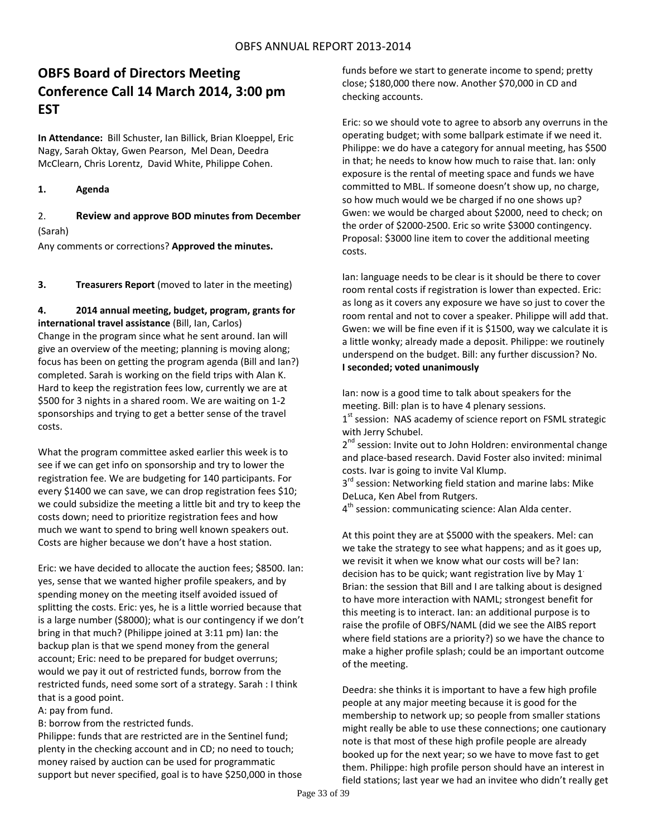# **OBFS Board of Directors Meeting Conference Call 14 March 2014, 3:00 pm EST**

**In Attendance:** Bill Schuster, Ian Billick, Brian Kloeppel, Eric Nagy, Sarah Oktay, Gwen Pearson, Mel Dean, Deedra McClearn, Chris Lorentz, David White, Philippe Cohen.

#### **1. Agenda**

## 2. **Review and approve BOD minutes from December** (Sarah)

Any comments or corrections? **Approved the minutes.**

**3. Treasurers Report** (moved to later in the meeting)

#### **4. 2014 annual meeting, budget, program, grants for international travel assistance** (Bill, Ian, Carlos)

Change in the program since what he sent around. Ian will give an overview of the meeting; planning is moving along; focus has been on getting the program agenda (Bill and Ian?) completed. Sarah is working on the field trips with Alan K. Hard to keep the registration fees low, currently we are at \$500 for 3 nights in a shared room. We are waiting on 1‐2 sponsorships and trying to get a better sense of the travel costs.

What the program committee asked earlier this week is to see if we can get info on sponsorship and try to lower the registration fee. We are budgeting for 140 participants. For every \$1400 we can save, we can drop registration fees \$10; we could subsidize the meeting a little bit and try to keep the costs down; need to prioritize registration fees and how much we want to spend to bring well known speakers out. Costs are higher because we don't have a host station.

Eric: we have decided to allocate the auction fees; \$8500. Ian: yes, sense that we wanted higher profile speakers, and by spending money on the meeting itself avoided issued of splitting the costs. Eric: yes, he is a little worried because that is a large number (\$8000); what is our contingency if we don't bring in that much? (Philippe joined at 3:11 pm) Ian: the backup plan is that we spend money from the general account; Eric: need to be prepared for budget overruns; would we pay it out of restricted funds, borrow from the restricted funds, need some sort of a strategy. Sarah : I think that is a good point.

A: pay from fund.

B: borrow from the restricted funds.

Philippe: funds that are restricted are in the Sentinel fund; plenty in the checking account and in CD; no need to touch; money raised by auction can be used for programmatic support but never specified, goal is to have \$250,000 in those funds before we start to generate income to spend; pretty close; \$180,000 there now. Another \$70,000 in CD and checking accounts.

Eric: so we should vote to agree to absorb any overruns in the operating budget; with some ballpark estimate if we need it. Philippe: we do have a category for annual meeting, has \$500 in that; he needs to know how much to raise that. Ian: only exposure is the rental of meeting space and funds we have committed to MBL. If someone doesn't show up, no charge, so how much would we be charged if no one shows up? Gwen: we would be charged about \$2000, need to check; on the order of \$2000‐2500. Eric so write \$3000 contingency. Proposal: \$3000 line item to cover the additional meeting costs.

Ian: language needs to be clear is it should be there to cover room rental costs if registration is lower than expected. Eric: as long as it covers any exposure we have so just to cover the room rental and not to cover a speaker. Philippe will add that. Gwen: we will be fine even if it is \$1500, way we calculate it is a little wonky; already made a deposit. Philippe: we routinely underspend on the budget. Bill: any further discussion? No. **I seconded; voted unanimously** 

Ian: now is a good time to talk about speakers for the meeting. Bill: plan is to have 4 plenary sessions.  $1<sup>st</sup>$  session: NAS academy of science report on FSML strategic with Jerry Schubel.

2<sup>nd</sup> session: Invite out to John Holdren: environmental change and place‐based research. David Foster also invited: minimal costs. Ivar is going to invite Val Klump.

3<sup>rd</sup> session: Networking field station and marine labs: Mike DeLuca, Ken Abel from Rutgers.

 $4<sup>th</sup>$  session: communicating science: Alan Alda center.

At this point they are at \$5000 with the speakers. Mel: can we take the strategy to see what happens; and as it goes up, we revisit it when we know what our costs will be? Ian: decision has to be quick; want registration live by May 1. Brian: the session that Bill and I are talking about is designed to have more interaction with NAML; strongest benefit for this meeting is to interact. Ian: an additional purpose is to raise the profile of OBFS/NAML (did we see the AIBS report where field stations are a priority?) so we have the chance to make a higher profile splash; could be an important outcome of the meeting.

Deedra: she thinks it is important to have a few high profile people at any major meeting because it is good for the membership to network up; so people from smaller stations might really be able to use these connections; one cautionary note is that most of these high profile people are already booked up for the next year; so we have to move fast to get them. Philippe: high profile person should have an interest in field stations; last year we had an invitee who didn't really get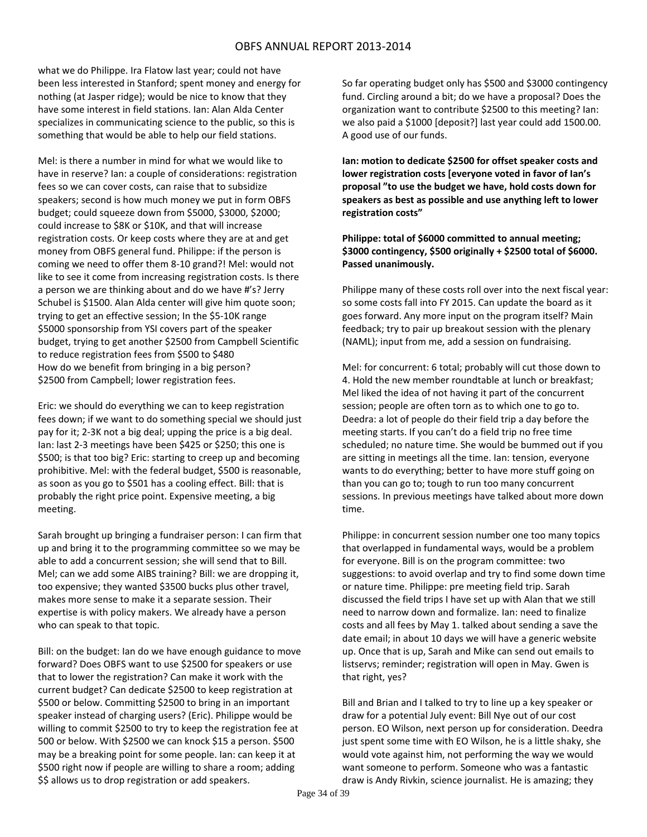what we do Philippe. Ira Flatow last year; could not have been less interested in Stanford; spent money and energy for nothing (at Jasper ridge); would be nice to know that they have some interest in field stations. Ian: Alan Alda Center specializes in communicating science to the public, so this is something that would be able to help our field stations.

Mel: is there a number in mind for what we would like to have in reserve? Ian: a couple of considerations: registration fees so we can cover costs, can raise that to subsidize speakers; second is how much money we put in form OBFS budget; could squeeze down from \$5000, \$3000, \$2000; could increase to \$8K or \$10K, and that will increase registration costs. Or keep costs where they are at and get money from OBFS general fund. Philippe: if the person is coming we need to offer them 8‐10 grand?! Mel: would not like to see it come from increasing registration costs. Is there a person we are thinking about and do we have #'s? Jerry Schubel is \$1500. Alan Alda center will give him quote soon; trying to get an effective session; In the \$5‐10K range \$5000 sponsorship from YSI covers part of the speaker budget, trying to get another \$2500 from Campbell Scientific to reduce registration fees from \$500 to \$480 How do we benefit from bringing in a big person? \$2500 from Campbell; lower registration fees.

Eric: we should do everything we can to keep registration fees down; if we want to do something special we should just pay for it; 2‐3K not a big deal; upping the price is a big deal. Ian: last 2‐3 meetings have been \$425 or \$250; this one is \$500; is that too big? Eric: starting to creep up and becoming prohibitive. Mel: with the federal budget, \$500 is reasonable, as soon as you go to \$501 has a cooling effect. Bill: that is probably the right price point. Expensive meeting, a big meeting.

Sarah brought up bringing a fundraiser person: I can firm that up and bring it to the programming committee so we may be able to add a concurrent session; she will send that to Bill. Mel; can we add some AIBS training? Bill: we are dropping it, too expensive; they wanted \$3500 bucks plus other travel, makes more sense to make it a separate session. Their expertise is with policy makers. We already have a person who can speak to that topic.

Bill: on the budget: Ian do we have enough guidance to move forward? Does OBFS want to use \$2500 for speakers or use that to lower the registration? Can make it work with the current budget? Can dedicate \$2500 to keep registration at \$500 or below. Committing \$2500 to bring in an important speaker instead of charging users? (Eric). Philippe would be willing to commit \$2500 to try to keep the registration fee at 500 or below. With \$2500 we can knock \$15 a person. \$500 may be a breaking point for some people. Ian: can keep it at \$500 right now if people are willing to share a room; adding \$\$ allows us to drop registration or add speakers.

So far operating budget only has \$500 and \$3000 contingency fund. Circling around a bit; do we have a proposal? Does the organization want to contribute \$2500 to this meeting? Ian: we also paid a \$1000 [deposit?] last year could add 1500.00. A good use of our funds.

**Ian: motion to dedicate \$2500 for offset speaker costs and lower registration costs [everyone voted in favor of Ian's proposal "to use the budget we have, hold costs down for speakers as best as possible and use anything left to lower registration costs"**

**Philippe: total of \$6000 committed to annual meeting; \$3000 contingency, \$500 originally + \$2500 total of \$6000. Passed unanimously.** 

Philippe many of these costs roll over into the next fiscal year: so some costs fall into FY 2015. Can update the board as it goes forward. Any more input on the program itself? Main feedback; try to pair up breakout session with the plenary (NAML); input from me, add a session on fundraising.

Mel: for concurrent: 6 total; probably will cut those down to 4. Hold the new member roundtable at lunch or breakfast; Mel liked the idea of not having it part of the concurrent session; people are often torn as to which one to go to. Deedra: a lot of people do their field trip a day before the meeting starts. If you can't do a field trip no free time scheduled; no nature time. She would be bummed out if you are sitting in meetings all the time. Ian: tension, everyone wants to do everything; better to have more stuff going on than you can go to; tough to run too many concurrent sessions. In previous meetings have talked about more down time.

Philippe: in concurrent session number one too many topics that overlapped in fundamental ways, would be a problem for everyone. Bill is on the program committee: two suggestions: to avoid overlap and try to find some down time or nature time. Philippe: pre meeting field trip. Sarah discussed the field trips I have set up with Alan that we still need to narrow down and formalize. Ian: need to finalize costs and all fees by May 1. talked about sending a save the date email; in about 10 days we will have a generic website up. Once that is up, Sarah and Mike can send out emails to listservs; reminder; registration will open in May. Gwen is that right, yes?

Bill and Brian and I talked to try to line up a key speaker or draw for a potential July event: Bill Nye out of our cost person. EO Wilson, next person up for consideration. Deedra just spent some time with EO Wilson, he is a little shaky, she would vote against him, not performing the way we would want someone to perform. Someone who was a fantastic draw is Andy Rivkin, science journalist. He is amazing; they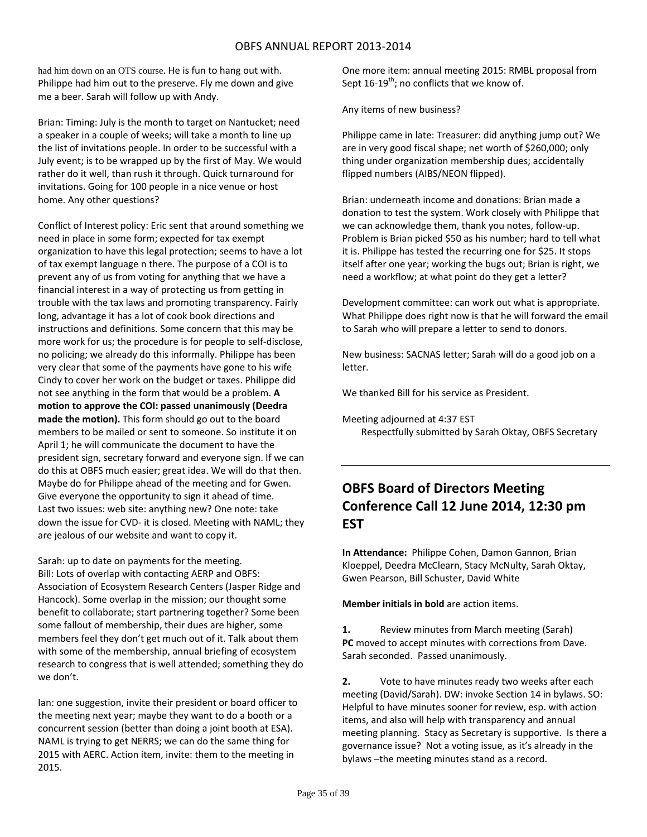had him down on an OTS course. He is fun to hang out with. Philippe had him out to the preserve. Fly me down and give me a beer. Sarah will follow up with Andy.

Brian: Timing: July is the month to target on Nantucket; need a speaker in a couple of weeks; will take a month to line up the list of invitations people. In order to be successful with a July event; is to be wrapped up by the first of May. We would rather do it well, than rush it through. Quick turnaround for invitations. Going for 100 people in a nice venue or host home. Any other questions?

Conflict of Interest policy: Eric sent that around something we need in place in some form; expected for tax exempt organization to have this legal protection; seems to have a lot of tax exempt language n there. The purpose of a COI is to prevent any of us from voting for anything that we have a financial interest in a way of protecting us from getting in trouble with the tax laws and promoting transparency. Fairly long, advantage it has a lot of cook book directions and instructions and definitions. Some concern that this may be more work for us; the procedure is for people to self‐disclose, no policing; we already do this informally. Philippe has been very clear that some of the payments have gone to his wife Cindy to cover her work on the budget or taxes. Philippe did not see anything in the form that would be a problem. **A motion to approve the COI: passed unanimously (Deedra made the motion).** This form should go out to the board members to be mailed or sent to someone. So institute it on April 1; he will communicate the document to have the president sign, secretary forward and everyone sign. If we can do this at OBFS much easier; great idea. We will do that then. Maybe do for Philippe ahead of the meeting and for Gwen. Give everyone the opportunity to sign it ahead of time. Last two issues: web site: anything new? One note: take down the issue for CVD‐ it is closed. Meeting with NAML; they are jealous of our website and want to copy it.

Sarah: up to date on payments for the meeting. Bill: Lots of overlap with contacting AERP and OBFS: Association of Ecosystem Research Centers (Jasper Ridge and Hancock). Some overlap in the mission; our thought some benefit to collaborate; start partnering together? Some been some fallout of membership, their dues are higher, some members feel they don't get much out of it. Talk about them with some of the membership, annual briefing of ecosystem research to congress that is well attended; something they do we don't.

Ian: one suggestion, invite their president or board officer to the meeting next year; maybe they want to do a booth or a concurrent session (better than doing a joint booth at ESA). NAML is trying to get NERRS; we can do the same thing for 2015 with AERC. Action item, invite: them to the meeting in 2015.

One more item: annual meeting 2015: RMBL proposal from Sept  $16-19^{th}$ ; no conflicts that we know of.

Any items of new business?

Philippe came in late: Treasurer: did anything jump out? We are in very good fiscal shape; net worth of \$260,000; only thing under organization membership dues; accidentally flipped numbers (AIBS/NEON flipped).

Brian: underneath income and donations: Brian made a donation to test the system. Work closely with Philippe that we can acknowledge them, thank you notes, follow‐up. Problem is Brian picked \$50 as his number; hard to tell what it is. Philippe has tested the recurring one for \$25. It stops itself after one year; working the bugs out; Brian is right, we need a workflow; at what point do they get a letter?

Development committee: can work out what is appropriate. What Philippe does right now is that he will forward the email to Sarah who will prepare a letter to send to donors.

New business: SACNAS letter; Sarah will do a good job on a letter.

We thanked Bill for his service as President.

Meeting adjourned at 4:37 EST Respectfully submitted by Sarah Oktay, OBFS Secretary

# **OBFS Board of Directors Meeting Conference Call 12 June 2014, 12:30 pm EST**

**In Attendance:** Philippe Cohen, Damon Gannon, Brian Kloeppel, Deedra McClearn, Stacy McNulty, Sarah Oktay, Gwen Pearson, Bill Schuster, David White

**Member initials in bold** are action items.

**1.** Review minutes from March meeting (Sarah) **PC** moved to accept minutes with corrections from Dave. Sarah seconded. Passed unanimously.

**2.** Vote to have minutes ready two weeks after each meeting (David/Sarah). DW: invoke Section 14 in bylaws. SO: Helpful to have minutes sooner for review, esp. with action items, and also will help with transparency and annual meeting planning. Stacy as Secretary is supportive. Is there a governance issue? Not a voting issue, as it's already in the bylaws –the meeting minutes stand as a record.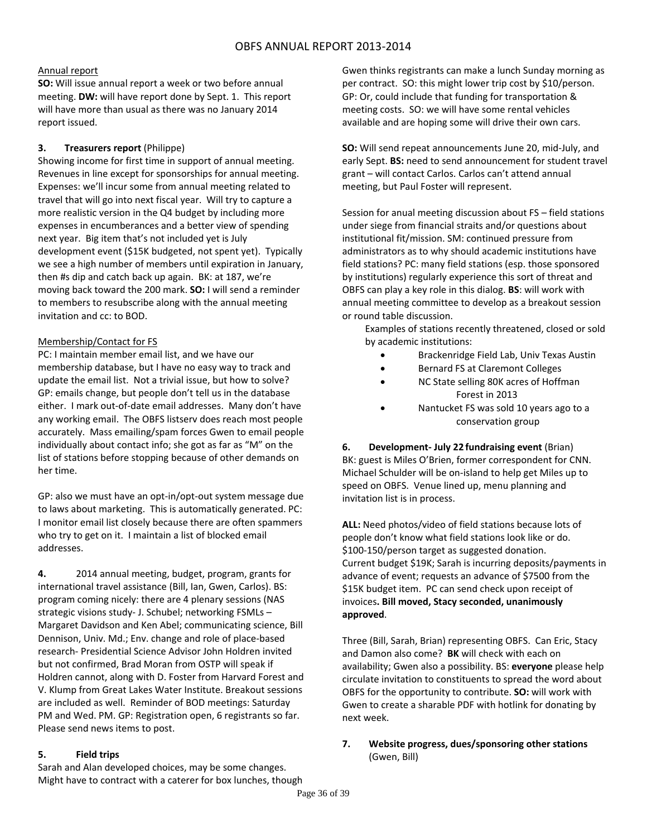## Annual report

**SO:** Will issue annual report a week or two before annual meeting. **DW:** will have report done by Sept. 1. This report will have more than usual as there was no January 2014 report issued.

## **3. Treasurers report** (Philippe)

Showing income for first time in support of annual meeting. Revenues in line except for sponsorships for annual meeting. Expenses: we'll incur some from annual meeting related to travel that will go into next fiscal year. Will try to capture a more realistic version in the Q4 budget by including more expenses in encumberances and a better view of spending next year. Big item that's not included yet is July development event (\$15K budgeted, not spent yet). Typically we see a high number of members until expiration in January, then #s dip and catch back up again. BK: at 187, we're moving back toward the 200 mark. **SO:** I will send a reminder to members to resubscribe along with the annual meeting invitation and cc: to BOD.

## Membership/Contact for FS

PC: I maintain member email list, and we have our membership database, but I have no easy way to track and update the email list. Not a trivial issue, but how to solve? GP: emails change, but people don't tell us in the database either. I mark out-of-date email addresses. Many don't have any working email. The OBFS listserv does reach most people accurately. Mass emailing/spam forces Gwen to email people individually about contact info; she got as far as "M" on the list of stations before stopping because of other demands on her time.

GP: also we must have an opt‐in/opt‐out system message due to laws about marketing. This is automatically generated. PC: I monitor email list closely because there are often spammers who try to get on it. I maintain a list of blocked email addresses.

**4.** 2014 annual meeting, budget, program, grants for international travel assistance (Bill, Ian, Gwen, Carlos). BS: program coming nicely: there are 4 plenary sessions (NAS strategic visions study‐ J. Schubel; networking FSMLs – Margaret Davidson and Ken Abel; communicating science, Bill Dennison, Univ. Md.; Env. change and role of place‐based research‐ Presidential Science Advisor John Holdren invited but not confirmed, Brad Moran from OSTP will speak if Holdren cannot, along with D. Foster from Harvard Forest and V. Klump from Great Lakes Water Institute. Breakout sessions are included as well. Reminder of BOD meetings: Saturday PM and Wed. PM. GP: Registration open, 6 registrants so far. Please send news items to post.

## **5. Field trips**

Sarah and Alan developed choices, may be some changes. Might have to contract with a caterer for box lunches, though Gwen thinks registrants can make a lunch Sunday morning as per contract. SO: this might lower trip cost by \$10/person. GP: Or, could include that funding for transportation & meeting costs. SO: we will have some rental vehicles available and are hoping some will drive their own cars.

**SO:** Will send repeat announcements June 20, mid‐July, and early Sept. **BS:** need to send announcement for student travel grant – will contact Carlos. Carlos can't attend annual meeting, but Paul Foster will represent.

Session for anual meeting discussion about FS – field stations under siege from financial straits and/or questions about institutional fit/mission. SM: continued pressure from administrators as to why should academic institutions have field stations? PC: many field stations (esp. those sponsored by institutions) regularly experience this sort of threat and OBFS can play a key role in this dialog. **BS**: will work with annual meeting committee to develop as a breakout session or round table discussion.

Examples of stations recently threatened, closed or sold by academic institutions:

- Brackenridge Field Lab, Univ Texas Austin
- Bernard FS at Claremont Colleges
- NC State selling 80K acres of Hoffman Forest in 2013
- Nantucket FS was sold 10 years ago to a conservation group

**6. Development‐ July 22 fundraising event** (Brian) BK: guest is Miles O'Brien, former correspondent for CNN. Michael Schulder will be on‐island to help get Miles up to speed on OBFS. Venue lined up, menu planning and invitation list is in process.

**ALL:** Need photos/video of field stations because lots of people don't know what field stations look like or do. \$100‐150/person target as suggested donation. Current budget \$19K; Sarah is incurring deposits/payments in advance of event; requests an advance of \$7500 from the \$15K budget item. PC can send check upon receipt of invoices**. Bill moved, Stacy seconded, unanimously approved**.

Three (Bill, Sarah, Brian) representing OBFS. Can Eric, Stacy and Damon also come? **BK** will check with each on availability; Gwen also a possibility. BS: **everyone** please help circulate invitation to constituents to spread the word about OBFS for the opportunity to contribute. **SO:** will work with Gwen to create a sharable PDF with hotlink for donating by next week.

**7. Website progress, dues/sponsoring other stations** (Gwen, Bill)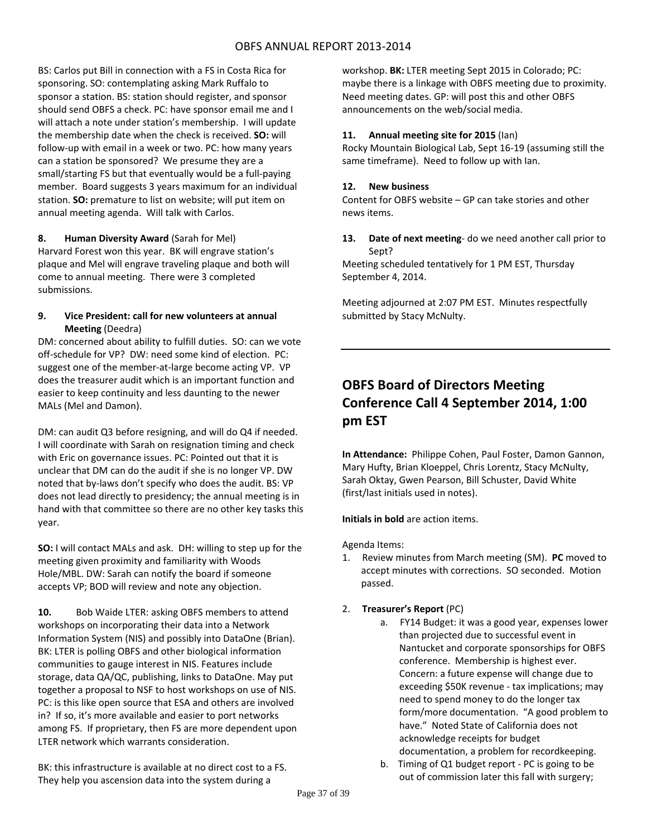BS: Carlos put Bill in connection with a FS in Costa Rica for sponsoring. SO: contemplating asking Mark Ruffalo to sponsor a station. BS: station should register, and sponsor should send OBFS a check. PC: have sponsor email me and I will attach a note under station's membership. I will update the membership date when the check is received. **SO:** will follow‐up with email in a week or two. PC: how many years can a station be sponsored? We presume they are a small/starting FS but that eventually would be a full‐paying member. Board suggests 3 years maximum for an individual station. **SO:** premature to list on website; will put item on annual meeting agenda. Will talk with Carlos.

## **8. Human Diversity Award** (Sarah for Mel)

Harvard Forest won this year. BK will engrave station's plaque and Mel will engrave traveling plaque and both will come to annual meeting. There were 3 completed submissions.

## **9. Vice President: call for new volunteers at annual Meeting** (Deedra)

DM: concerned about ability to fulfill duties. SO: can we vote off-schedule for VP? DW: need some kind of election. PC: suggest one of the member-at-large become acting VP. VP does the treasurer audit which is an important function and easier to keep continuity and less daunting to the newer MALs (Mel and Damon).

DM: can audit Q3 before resigning, and will do Q4 if needed. I will coordinate with Sarah on resignation timing and check with Eric on governance issues. PC: Pointed out that it is unclear that DM can do the audit if she is no longer VP. DW noted that by‐laws don't specify who does the audit. BS: VP does not lead directly to presidency; the annual meeting is in hand with that committee so there are no other key tasks this year.

**SO:** I will contact MALs and ask. DH: willing to step up for the meeting given proximity and familiarity with Woods Hole/MBL. DW: Sarah can notify the board if someone accepts VP; BOD will review and note any objection.

**10.** Bob Waide LTER: asking OBFS members to attend workshops on incorporating their data into a Network Information System (NIS) and possibly into DataOne (Brian). BK: LTER is polling OBFS and other biological information communities to gauge interest in NIS. Features include storage, data QA/QC, publishing, links to DataOne. May put together a proposal to NSF to host workshops on use of NIS. PC: is this like open source that ESA and others are involved in? If so, it's more available and easier to port networks among FS. If proprietary, then FS are more dependent upon LTER network which warrants consideration.

BK: this infrastructure is available at no direct cost to a FS. They help you ascension data into the system during a

workshop. **BK:** LTER meeting Sept 2015 in Colorado; PC: maybe there is a linkage with OBFS meeting due to proximity. Need meeting dates. GP: will post this and other OBFS announcements on the web/social media.

## **11. Annual meeting site for 2015** (Ian)

Rocky Mountain Biological Lab, Sept 16‐19 (assuming still the same timeframe). Need to follow up with Ian.

## **12. New business**

Content for OBFS website – GP can take stories and other news items.

## **13. Date of next meeting**‐ do we need another call prior to Sept?

Meeting scheduled tentatively for 1 PM EST, Thursday September 4, 2014.

Meeting adjourned at 2:07 PM EST. Minutes respectfully submitted by Stacy McNulty.

# **OBFS Board of Directors Meeting Conference Call 4 September 2014, 1:00 pm EST**

**In Attendance:** Philippe Cohen, Paul Foster, Damon Gannon, Mary Hufty, Brian Kloeppel, Chris Lorentz, Stacy McNulty, Sarah Oktay, Gwen Pearson, Bill Schuster, David White (first/last initials used in notes).

## **Initials in bold** are action items.

Agenda Items:

1. Review minutes from March meeting (SM). **PC** moved to accept minutes with corrections. SO seconded. Motion passed.

## 2. **Treasurer's Report** (PC)

- a. FY14 Budget: it was a good year, expenses lower than projected due to successful event in Nantucket and corporate sponsorships for OBFS conference. Membership is highest ever. Concern: a future expense will change due to exceeding \$50K revenue ‐ tax implications; may need to spend money to do the longer tax form/more documentation. "A good problem to have." Noted State of California does not acknowledge receipts for budget documentation, a problem for recordkeeping.
	- b. Timing of Q1 budget report PC is going to be out of commission later this fall with surgery;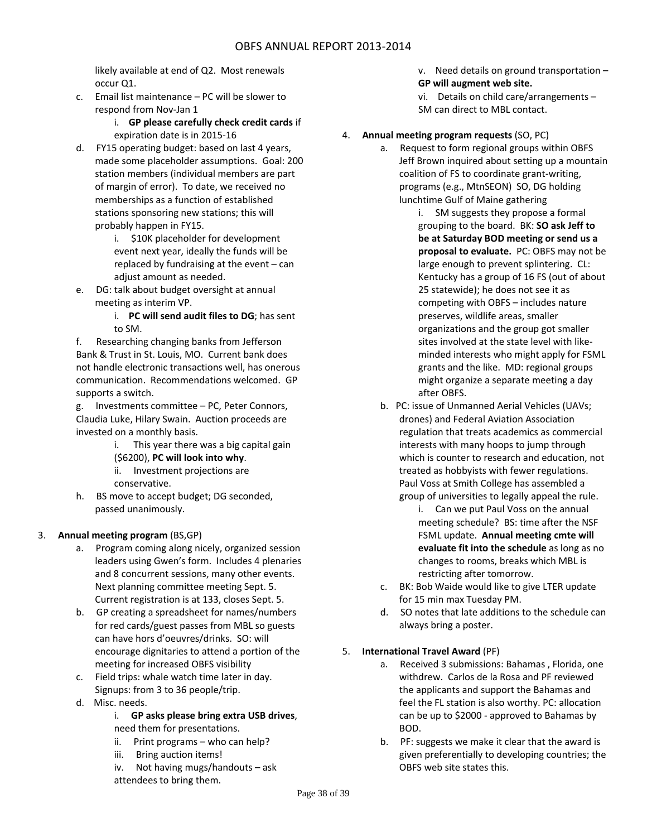likely available at end of Q2. Most renewals occur Q1.

c. Email list maintenance – PC will be slower to respond from Nov‐Jan 1

## i. **GP please carefully check credit cards** if expiration date is in 2015‐16

- d. FY15 operating budget: based on last 4 years, made some placeholder assumptions. Goal: 200 station members (individual members are part of margin of error). To date, we received no memberships as a function of established stations sponsoring new stations; this will probably happen in FY15.
	- i. \$10K placeholder for development event next year, ideally the funds will be replaced by fundraising at the event – can adjust amount as needed.
- e. DG: talk about budget oversight at annual meeting as interim VP.

i. **PC will send audit files to DG**; has sent to SM.

f. Researching changing banks from Jefferson Bank & Trust in St. Louis, MO. Current bank does not handle electronic transactions well, has onerous communication. Recommendations welcomed. GP supports a switch.

g. Investments committee – PC, Peter Connors, Claudia Luke, Hilary Swain. Auction proceeds are invested on a monthly basis.

- i. This year there was a big capital gain (\$6200), **PC will look into why**. ii. Investment projections are
- conservative.
- h. BS move to accept budget; DG seconded, passed unanimously.

## 3. **Annual meeting program** (BS,GP)

- a. Program coming along nicely, organized session leaders using Gwen's form. Includes 4 plenaries and 8 concurrent sessions, many other events. Next planning committee meeting Sept. 5. Current registration is at 133, closes Sept. 5.
- b. GP creating a spreadsheet for names/numbers for red cards/guest passes from MBL so guests can have hors d'oeuvres/drinks. SO: will encourage dignitaries to attend a portion of the meeting for increased OBFS visibility
- c. Field trips: whale watch time later in day. Signups: from 3 to 36 people/trip.
- d. Misc. needs.

## i. **GP asks please bring extra USB drives**,

- need them for presentations.
- ii. Print programs  $-$  who can help?
- iii. Bring auction items!
- iv. Not having mugs/handouts ask

attendees to bring them.

- v. Need details on ground transportation -
- **GP will augment web site.**
- vi. Details on child care/arrangements  $-$ SM can direct to MBL contact.

## 4. **Annual meeting program requests** (SO, PC)

- a. Request to form regional groups within OBFS Jeff Brown inquired about setting up a mountain coalition of FS to coordinate grant‐writing, programs (e.g., MtnSEON) SO, DG holding lunchtime Gulf of Maine gathering
	- i. SM suggests they propose a formal grouping to the board. BK: **SO ask Jeff to be at Saturday BOD meeting or send us a proposal to evaluate.** PC: OBFS may not be large enough to prevent splintering. CL: Kentucky has a group of 16 FS (out of about 25 statewide); he does not see it as competing with OBFS – includes nature preserves, wildlife areas, smaller organizations and the group got smaller sites involved at the state level with like‐ minded interests who might apply for FSML grants and the like. MD: regional groups might organize a separate meeting a day after OBFS.
	- b. PC: issue of Unmanned Aerial Vehicles (UAVs; drones) and Federal Aviation Association regulation that treats academics as commercial interests with many hoops to jump through which is counter to research and education, not treated as hobbyists with fewer regulations. Paul Voss at Smith College has assembled a group of universities to legally appeal the rule.
		- i. Can we put Paul Voss on the annual meeting schedule? BS: time after the NSF FSML update. **Annual meeting cmte will evaluate fit into the schedule** as long as no changes to rooms, breaks which MBL is restricting after tomorrow.
	- c. BK: Bob Waide would like to give LTER update for 15 min max Tuesday PM.
	- d. SO notes that late additions to the schedule can always bring a poster.

## 5. **International Travel Award** (PF)

- a. Received 3 submissions: Bahamas , Florida, one withdrew. Carlos de la Rosa and PF reviewed the applicants and support the Bahamas and feel the FL station is also worthy. PC: allocation can be up to \$2000 ‐ approved to Bahamas by BOD.
- b. PF: suggests we make it clear that the award is given preferentially to developing countries; the OBFS web site states this.